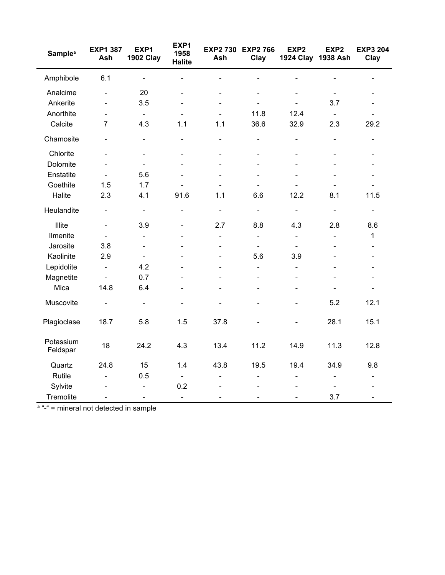| <b>Sample<sup>a</sup></b> | <b>EXP1 387</b><br>Ash       | EXP1<br><b>1902 Clay</b> | EXP1<br>1958<br><b>Halite</b> | Ash                      | EXP2 730 EXP2 766<br>Clay    | EXP <sub>2</sub><br>1924 Clay 1938 Ash | EXP <sub>2</sub>         | <b>EXP3 204</b><br>Clay  |
|---------------------------|------------------------------|--------------------------|-------------------------------|--------------------------|------------------------------|----------------------------------------|--------------------------|--------------------------|
| Amphibole                 | 6.1                          | $\blacksquare$           | $\overline{a}$                | $\overline{\phantom{0}}$ | $\blacksquare$               |                                        | $\blacksquare$           |                          |
| Analcime                  | $\blacksquare$               | 20                       | $\blacksquare$                | $\blacksquare$           | $\blacksquare$               | $\overline{\phantom{a}}$               | $\blacksquare$           | $\blacksquare$           |
| Ankerite                  |                              | 3.5                      |                               |                          |                              |                                        | 3.7                      |                          |
| Anorthite                 | $\frac{1}{2}$                | $\blacksquare$           | $\blacksquare$                | $\blacksquare$           | 11.8                         | 12.4                                   | $\blacksquare$           |                          |
| Calcite                   | $\overline{7}$               | 4.3                      | 1.1                           | 1.1                      | 36.6                         | 32.9                                   | 2.3                      | 29.2                     |
| Chamosite                 | $\blacksquare$               | $\overline{\phantom{0}}$ | $\blacksquare$                | $\blacksquare$           | $\qquad \qquad \blacksquare$ | $\qquad \qquad \blacksquare$           | $\overline{\phantom{0}}$ | $\blacksquare$           |
| Chlorite                  | $\overline{a}$               | $\blacksquare$           | ä,                            | L,                       | $\blacksquare$               | $\blacksquare$                         | $\blacksquare$           | $\blacksquare$           |
| Dolomite                  | $\overline{a}$               | $\overline{\phantom{0}}$ | $\blacksquare$                |                          |                              |                                        |                          |                          |
| Enstatite                 | $\blacksquare$               | 5.6                      | $\blacksquare$                | $\blacksquare$           | $\blacksquare$               | $\sim$                                 | $\blacksquare$           | $\blacksquare$           |
| Goethite                  | 1.5                          | 1.7                      | $\overline{\phantom{0}}$      | $\overline{\phantom{0}}$ | $\blacksquare$               | L.                                     | $\overline{\phantom{0}}$ | $\blacksquare$           |
| Halite                    | 2.3                          | 4.1                      | 91.6                          | 1.1                      | 6.6                          | 12.2                                   | 8.1                      | 11.5                     |
| Heulandite                | $\frac{1}{2}$                | $\blacksquare$           | $\overline{\phantom{0}}$      | $\blacksquare$           | $\blacksquare$               | $\blacksquare$                         | $\frac{1}{2}$            | $\blacksquare$           |
| Illite                    | $\blacksquare$               | 3.9                      | $\blacksquare$                | 2.7                      | 8.8                          | 4.3                                    | 2.8                      | 8.6                      |
| Ilmenite                  | $\blacksquare$               | $\overline{\phantom{a}}$ | ۳                             | L,                       | $\blacksquare$               | $\blacksquare$                         | $\overline{\phantom{a}}$ | $\mathbf{1}$             |
| Jarosite                  | 3.8                          | $\overline{\phantom{a}}$ |                               |                          | $\blacksquare$               |                                        |                          |                          |
| Kaolinite                 | 2.9                          | $\blacksquare$           |                               | $\overline{a}$           | 5.6                          | 3.9                                    | ÷                        |                          |
| Lepidolite                | $\blacksquare$               | 4.2                      |                               |                          | $\blacksquare$               | $\overline{\phantom{0}}$               | $\overline{a}$           |                          |
| Magnetite                 | $\blacksquare$               | 0.7                      |                               |                          |                              |                                        |                          |                          |
| Mica                      | 14.8                         | 6.4                      | $\blacksquare$                | $\blacksquare$           | $\blacksquare$               | $\overline{\phantom{a}}$               | $\blacksquare$           | $\overline{\phantom{a}}$ |
| Muscovite                 | $\blacksquare$               | $\blacksquare$           | $\blacksquare$                | $\blacksquare$           | $\blacksquare$               | $\blacksquare$                         | 5.2                      | 12.1                     |
| Plagioclase               | 18.7                         | 5.8                      | 1.5                           | 37.8                     |                              | $\blacksquare$                         | 28.1                     | 15.1                     |
| Potassium<br>Feldspar     | 18                           | 24.2                     | 4.3                           | 13.4                     | 11.2                         | 14.9                                   | 11.3                     | 12.8                     |
| Quartz                    | 24.8                         | 15                       | 1.4                           | 43.8                     | 19.5                         | 19.4                                   | 34.9                     | 9.8                      |
| Rutile                    | $\overline{a}$               | 0.5                      | $\blacksquare$                | $\overline{a}$           | $\overline{a}$               | $\blacksquare$                         | $\blacksquare$           | $\blacksquare$           |
| Sylvite                   |                              | $\blacksquare$           | 0.2                           |                          |                              |                                        |                          |                          |
| Tremolite                 | $\qquad \qquad \blacksquare$ | $\overline{\phantom{a}}$ | $\overline{\phantom{a}}$      | $\overline{\phantom{a}}$ | $\blacksquare$               | $\blacksquare$                         | 3.7                      | $\overline{\phantom{a}}$ |

<sup>a</sup> "-" = mineral not detected in sample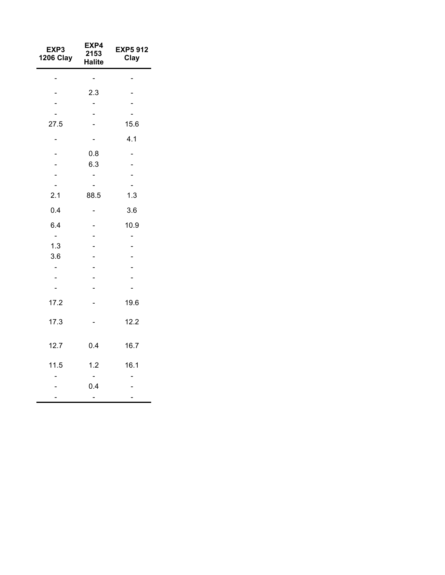| EXP3<br><b>1206 Clay</b> | EXP4<br>2153<br><b>Halite</b> | <b>EXP5 912</b><br>Clay |
|--------------------------|-------------------------------|-------------------------|
|                          |                               |                         |
|                          | 2.3                           |                         |
|                          | $\overline{\phantom{0}}$      |                         |
|                          |                               |                         |
| 27.5                     |                               | 15.6                    |
|                          |                               | 4.1                     |
|                          | 0.8                           |                         |
|                          | 6.3                           |                         |
|                          |                               |                         |
|                          |                               |                         |
| 2.1                      | 88.5                          | 1.3                     |
| 0.4                      |                               | 3.6                     |
| 6.4                      |                               | 10.9                    |
| $\blacksquare$           |                               | -                       |
| 1.3                      |                               |                         |
| 3.6                      | $\overline{\phantom{a}}$      |                         |
| $\overline{a}$           | $\overline{\phantom{a}}$      |                         |
|                          |                               |                         |
|                          |                               |                         |
| 17.2                     |                               | 19.6                    |
| 17.3                     |                               | 12.2                    |
| 12.7                     | 0.4                           | 16.7                    |
| 11.5                     | 1.2                           | 16.1                    |
|                          |                               |                         |
|                          | 0.4                           |                         |
|                          |                               |                         |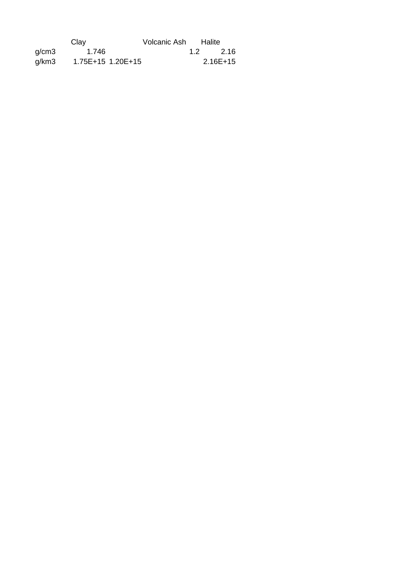|       | Clay              | Volcanic Ash |     | Halite     |
|-------|-------------------|--------------|-----|------------|
| q/cm3 | 1.746             |              | 1.2 | 2.16       |
| q/km3 | 1.75E+15 1.20E+15 |              |     | $2.16E+15$ |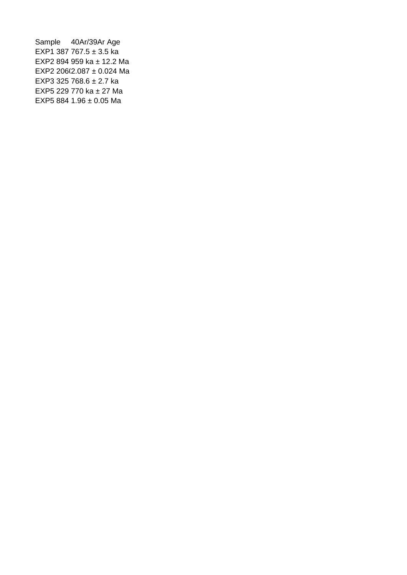```
Sample 40Ar/39Ar Age
EXP1 387 767.5 ± 3.5 ka
EXP2 894 959 ka ± 12.2 Ma
EXP2 206(2.087 \pm 0.024 Ma
EXP3 325 768.6 ± 2.7 ka
EXP5 229 770 ka ± 27 Ma
EXP5 884 1.96 ± 0.05 Ma
```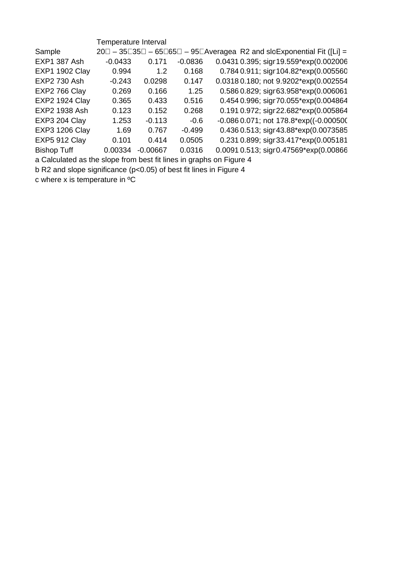|                       | Temperature Interval |            |           |                                                                                              |
|-----------------------|----------------------|------------|-----------|----------------------------------------------------------------------------------------------|
| Sample                |                      |            |           | $20\Box - 35\Box 35\Box - 65\Box 65\Box - 95\Box$ Averagea R2 and sloExponential Fit ([Li] = |
| <b>EXP1 387 Ash</b>   | $-0.0433$            | 0.171      | $-0.0836$ | 0.0431 0.395; sigr 19.559*exp(0.002006                                                       |
| <b>EXP1 1902 Clay</b> | 0.994                | 1.2        | 0.168     | 0.784 0.911; sigr 104.82*exp(0.005560                                                        |
| <b>EXP2 730 Ash</b>   | $-0.243$             | 0.0298     | 0.147     | 0.0318 0.180; not 9.9202*exp(0.002554                                                        |
| EXP2 766 Clay         | 0.269                | 0.166      | 1.25      | 0.586 0.829; sigr63.958*exp(0.006061                                                         |
| <b>EXP2 1924 Clay</b> | 0.365                | 0.433      | 0.516     | 0.454 0.996; sigr 70.055*exp(0.004864                                                        |
| EXP2 1938 Ash         | 0.123                | 0.152      | 0.268     | 0.191 0.972; sigr 22.682*exp(0.005864                                                        |
| EXP3 204 Clay         | 1.253                | $-0.113$   | $-0.6$    | $-0.0860.071$ ; not 178.8*exp((-0.000500)                                                    |
| <b>EXP3 1206 Clay</b> | 1.69                 | 0.767      | $-0.499$  | 0.436 0.513; sigr 43.88*exp(0.0073585                                                        |
| <b>EXP5 912 Clay</b>  | 0.101                | 0.414      | 0.0505    | 0.231 0.899; sigr33.417*exp(0.005181                                                         |
| <b>Bishop Tuff</b>    | 0.00334              | $-0.00667$ | 0.0316    | 0.0091 0.513; sigr0.47569*exp(0.00866                                                        |
|                       |                      |            |           |                                                                                              |

a Calculated as the slope from best fit lines in graphs on Figure 4

b R2 and slope significance (p<0.05) of best fit lines in Figure 4

c where x is temperature in  $^{\circ}C$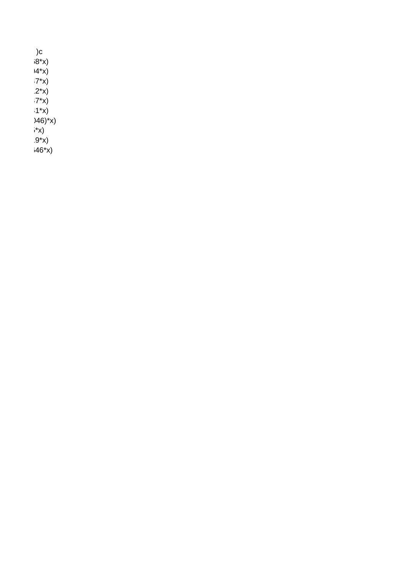$)c$  $(8*)$  $14 \times x$  $-7*x$  $.2*x$  $-7*x$  $1 * x$  $(146)^{x}x$  $*x$  $9 * x$  $(46*x)$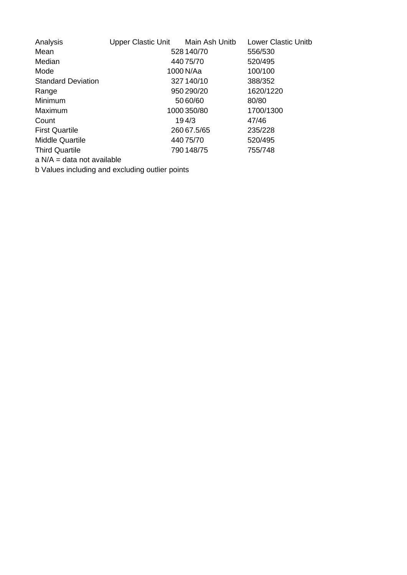| Analysis                     | <b>Upper Clastic Unit</b> | Main Ash Unitb | <b>Lower Clastic Unitb</b> |
|------------------------------|---------------------------|----------------|----------------------------|
| Mean                         |                           | 528 140/70     | 556/530                    |
| Median                       |                           | 440 75/70      | 520/495                    |
| Mode                         |                           | 1000 N/Aa      | 100/100                    |
| <b>Standard Deviation</b>    |                           | 327 140/10     | 388/352                    |
| Range                        |                           | 950 290/20     | 1620/1220                  |
| Minimum                      |                           | 50 60/60       | 80/80                      |
| Maximum                      |                           | 1000 350/80    | 1700/1300                  |
| Count                        |                           | 194/3          | 47/46                      |
| <b>First Quartile</b>        |                           | 260 67.5/65    | 235/228                    |
| Middle Quartile              |                           | 440 75/70      | 520/495                    |
| <b>Third Quartile</b>        |                           | 790 148/75     | 755/748                    |
| $a$ N/A = data not available |                           |                |                            |

b Values including and excluding outlier points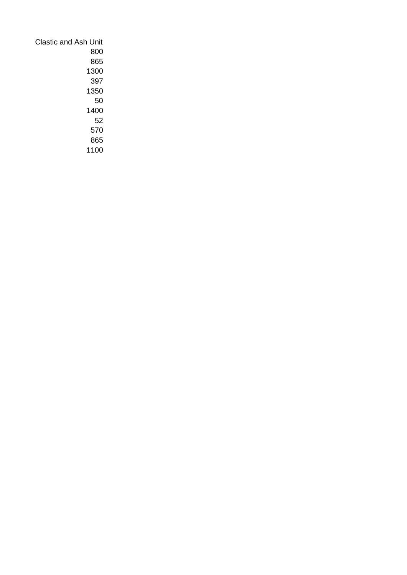| Clastic and Ash Unit |
|----------------------|
|                      |
| 800                  |
| 865                  |
| 1300                 |
| 397                  |
| 1350                 |
| 50                   |
| 1400                 |
| 52                   |
| 570                  |
| 865                  |
| 1100                 |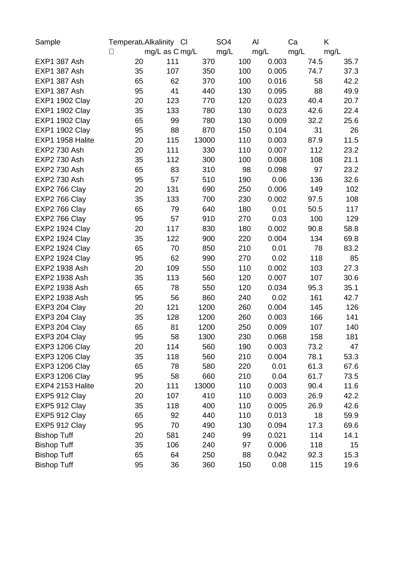| Sample                | TemperatuAlkalinity CI |                |       | SO <sub>4</sub> | Al          | Ca   | K    |
|-----------------------|------------------------|----------------|-------|-----------------|-------------|------|------|
|                       | $\Box$                 | mg/L as C mg/L |       | mg/L            | mg/L        | mg/L | mg/L |
| EXP1 387 Ash          | 20                     | 111            | 370   | 100             | 0.003       | 74.5 | 35.7 |
| <b>EXP1 387 Ash</b>   | 35                     | 107            | 350   | 100             | 0.005       | 74.7 | 37.3 |
| <b>EXP1 387 Ash</b>   | 65                     | 62             | 370   | 100             | 0.016       | 58   | 42.2 |
| <b>EXP1 387 Ash</b>   | 95                     | 41             | 440   | 130             | 0.095       | 88   | 49.9 |
| <b>EXP1 1902 Clay</b> | 20                     | 123            | 770   | 120             | 0.023       | 40.4 | 20.7 |
| <b>EXP1 1902 Clay</b> | 35                     | 133            | 780   | 130             | 0.023       | 42.6 | 22.4 |
| <b>EXP1 1902 Clay</b> | 65                     | 99             | 780   | 130             | 0.009       | 32.2 | 25.6 |
| <b>EXP1 1902 Clay</b> | 95                     | 88             | 870   | 150             | 0.104       | 31   | 26   |
| EXP1 1958 Halite      | 20                     | 115            | 13000 | 110             | 0.003       | 87.9 | 11.5 |
| EXP2 730 Ash          | 20                     | 111            | 330   | 110             | 0.007       | 112  | 23.2 |
| EXP2 730 Ash          | 35                     | 112            | 300   | 100             | 0.008       | 108  | 21.1 |
| EXP2 730 Ash          | 65                     | 83             | 310   |                 | 98<br>0.098 | 97   | 23.2 |
| EXP2 730 Ash          | 95                     | 57             | 510   | 190             | 0.06        | 136  | 32.6 |
| EXP2 766 Clay         | 20                     | 131            | 690   | 250             | 0.006       | 149  | 102  |
| EXP2 766 Clay         | 35                     | 133            | 700   | 230             | 0.002       | 97.5 | 108  |
| EXP2 766 Clay         | 65                     | 79             | 640   | 180             | 0.01        | 50.5 | 117  |
| EXP2 766 Clay         | 95                     | 57             | 910   | 270             | 0.03        | 100  | 129  |
| <b>EXP2 1924 Clay</b> | 20                     | 117            | 830   | 180             | 0.002       | 90.8 | 58.8 |
| <b>EXP2 1924 Clay</b> | 35                     | 122            | 900   | 220             | 0.004       | 134  | 69.8 |
| <b>EXP2 1924 Clay</b> | 65                     | 70             | 850   | 210             | 0.01        | 78   | 83.2 |
| <b>EXP2 1924 Clay</b> | 95                     | 62             | 990   | 270             | 0.02        | 118  | 85   |
| EXP2 1938 Ash         | 20                     | 109            | 550   | 110             | 0.002       | 103  | 27.3 |
| EXP2 1938 Ash         | 35                     | 113            | 560   | 120             | 0.007       | 107  | 30.6 |
| EXP2 1938 Ash         | 65                     | 78             | 550   | 120             | 0.034       | 95.3 | 35.1 |
| EXP2 1938 Ash         | 95                     | 56             | 860   | 240             | 0.02        | 161  | 42.7 |
| EXP3 204 Clay         | 20                     | 121            | 1200  | 260             | 0.004       | 145  | 126  |
| EXP3 204 Clay         | 35                     | 128            | 1200  | 260             | 0.003       | 166  | 141  |
| EXP3 204 Clay         | 65                     | 81             | 1200  | 250             | 0.009       | 107  | 140  |
| EXP3 204 Clay         | 95                     | 58             | 1300  | 230             | 0.068       | 158  | 181  |
| <b>EXP3 1206 Clay</b> | 20                     | 114            | 560   | 190             | 0.003       | 73.2 | 47   |
| <b>EXP3 1206 Clay</b> | 35                     | 118            | 560   | 210             | 0.004       | 78.1 | 53.3 |
| <b>EXP3 1206 Clay</b> | 65                     | 78             | 580   | 220             | 0.01        | 61.3 | 67.6 |
| <b>EXP3 1206 Clay</b> | 95                     | 58             | 660   | 210             | 0.04        | 61.7 | 73.5 |
| EXP4 2153 Halite      | 20                     | 111            | 13000 | 110             | 0.003       | 90.4 | 11.6 |
| <b>EXP5 912 Clay</b>  | 20                     | 107            | 410   | 110             | 0.003       | 26.9 | 42.2 |
| EXP5 912 Clay         | 35                     | 118            | 400   | 110             | 0.005       | 26.9 | 42.6 |
| <b>EXP5 912 Clay</b>  | 65                     | 92             | 440   | 110             | 0.013       | 18   | 59.9 |
| EXP5 912 Clay         | 95                     | 70             | 490   | 130             | 0.094       | 17.3 | 69.6 |
| <b>Bishop Tuff</b>    | 20                     | 581            | 240   |                 | 0.021<br>99 | 114  | 14.1 |
| <b>Bishop Tuff</b>    | 35                     | 106            | 240   |                 | 0.006<br>97 | 118  | 15   |
| <b>Bishop Tuff</b>    | 65                     | 64             | 250   |                 | 0.042<br>88 | 92.3 | 15.3 |
| <b>Bishop Tuff</b>    | 95                     | 36             | 360   | 150             | 0.08        | 115  | 19.6 |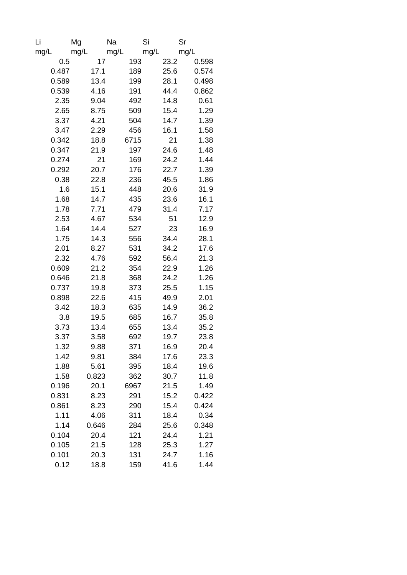| Li    | Mg    | Na   | Si   | Sr    |
|-------|-------|------|------|-------|
| mg/L  | mg/L  | mg/L | mg/L | mg/L  |
| 0.5   | 17    | 193  | 23.2 | 0.598 |
| 0.487 | 17.1  | 189  | 25.6 | 0.574 |
| 0.589 | 13.4  | 199  | 28.1 | 0.498 |
| 0.539 | 4.16  | 191  | 44.4 | 0.862 |
| 2.35  | 9.04  | 492  | 14.8 | 0.61  |
| 2.65  | 8.75  | 509  | 15.4 | 1.29  |
| 3.37  | 4.21  | 504  | 14.7 | 1.39  |
| 3.47  | 2.29  | 456  | 16.1 | 1.58  |
| 0.342 | 18.8  | 6715 | 21   | 1.38  |
| 0.347 | 21.9  | 197  | 24.6 | 1.48  |
| 0.274 | 21    | 169  | 24.2 | 1.44  |
| 0.292 | 20.7  | 176  | 22.7 | 1.39  |
| 0.38  | 22.8  | 236  | 45.5 | 1.86  |
| 1.6   | 15.1  | 448  | 20.6 | 31.9  |
| 1.68  | 14.7  | 435  | 23.6 | 16.1  |
| 1.78  | 7.71  | 479  | 31.4 | 7.17  |
| 2.53  | 4.67  | 534  | 51   | 12.9  |
| 1.64  | 14.4  | 527  | 23   | 16.9  |
| 1.75  | 14.3  | 556  | 34.4 | 28.1  |
| 2.01  | 8.27  | 531  | 34.2 | 17.6  |
| 2.32  | 4.76  | 592  | 56.4 | 21.3  |
| 0.609 | 21.2  | 354  | 22.9 | 1.26  |
| 0.646 | 21.8  | 368  | 24.2 | 1.26  |
| 0.737 | 19.8  | 373  | 25.5 | 1.15  |
| 0.898 | 22.6  | 415  | 49.9 | 2.01  |
| 3.42  | 18.3  | 635  | 14.9 | 36.2  |
| 3.8   | 19.5  | 685  | 16.7 | 35.8  |
| 3.73  | 13.4  | 655  | 13.4 | 35.2  |
| 3.37  | 3.58  | 692  | 19.7 | 23.8  |
| 1.32  | 9.88  | 371  | 16.9 | 20.4  |
| 1.42  | 9.81  | 384  | 17.6 | 23.3  |
| 1.88  | 5.61  | 395  | 18.4 | 19.6  |
| 1.58  | 0.823 | 362  | 30.7 | 11.8  |
| 0.196 | 20.1  | 6967 | 21.5 | 1.49  |
| 0.831 | 8.23  | 291  | 15.2 | 0.422 |
| 0.861 | 8.23  | 290  | 15.4 | 0.424 |
| 1.11  | 4.06  | 311  | 18.4 | 0.34  |
| 1.14  | 0.646 | 284  | 25.6 | 0.348 |
| 0.104 | 20.4  | 121  | 24.4 | 1.21  |
| 0.105 | 21.5  | 128  | 25.3 | 1.27  |
| 0.101 | 20.3  | 131  | 24.7 | 1.16  |
| 0.12  | 18.8  | 159  | 41.6 | 1.44  |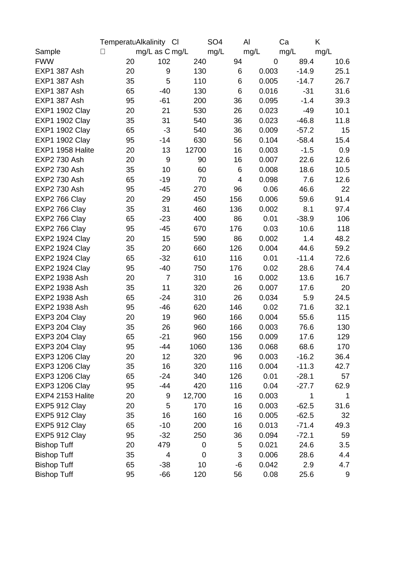|                       | TemperatuAlkalinity Cl |                |             | SO <sub>4</sub> | AI    | Ca      | K    |
|-----------------------|------------------------|----------------|-------------|-----------------|-------|---------|------|
| Sample                | $\vert \ \vert$        | mg/L as C mg/L |             | mg/L            | mg/L  | mg/L    | mg/L |
| <b>FWW</b>            | 20                     | 102            | 240         | 94              | 0     | 89.4    | 10.6 |
| EXP1 387 Ash          | 20                     | 9              | 130         | 6               | 0.003 | $-14.9$ | 25.1 |
| EXP1 387 Ash          | 35                     | 5              | 110         | 6               | 0.005 | $-14.7$ | 26.7 |
| EXP1 387 Ash          | 65                     | $-40$          | 130         | 6               | 0.016 | $-31$   | 31.6 |
| <b>EXP1 387 Ash</b>   | 95                     | $-61$          | 200         | 36              | 0.095 | $-1.4$  | 39.3 |
| <b>EXP1 1902 Clay</b> | 20                     | 21             | 530         | 26              | 0.023 | $-49$   | 10.1 |
| <b>EXP1 1902 Clay</b> | 35                     | 31             | 540         | 36              | 0.023 | $-46.8$ | 11.8 |
| <b>EXP1 1902 Clay</b> | 65                     | $-3$           | 540         | 36              | 0.009 | $-57.2$ | 15   |
| <b>EXP1 1902 Clay</b> | 95                     | $-14$          | 630         | 56              | 0.104 | $-58.4$ | 15.4 |
| EXP1 1958 Halite      | 20                     | 13             | 12700       | 16              | 0.003 | $-1.5$  | 0.9  |
| EXP2 730 Ash          | 20                     | 9              | 90          | 16              | 0.007 | 22.6    | 12.6 |
| EXP2 730 Ash          | 35                     | 10             | 60          | 6               | 0.008 | 18.6    | 10.5 |
| EXP2 730 Ash          | 65                     | $-19$          | 70          | 4               | 0.098 | 7.6     | 12.6 |
| EXP2 730 Ash          | 95                     | $-45$          | 270         | 96              | 0.06  | 46.6    | 22   |
| EXP2 766 Clay         | 20                     | 29             | 450         | 156             | 0.006 | 59.6    | 91.4 |
| EXP2 766 Clay         | 35                     | 31             | 460         | 136             | 0.002 | 8.1     | 97.4 |
| EXP2 766 Clay         | 65                     | $-23$          | 400         | 86              | 0.01  | $-38.9$ | 106  |
| EXP2 766 Clay         | 95                     | $-45$          | 670         | 176             | 0.03  | 10.6    | 118  |
| <b>EXP2 1924 Clay</b> | 20                     | 15             | 590         | 86              | 0.002 | 1.4     | 48.2 |
| <b>EXP2 1924 Clay</b> | 35                     | 20             | 660         | 126             | 0.004 | 44.6    | 59.2 |
| <b>EXP2 1924 Clay</b> | 65                     | $-32$          | 610         | 116             | 0.01  | $-11.4$ | 72.6 |
| <b>EXP2 1924 Clay</b> | 95                     | -40            | 750         | 176             | 0.02  | 28.6    | 74.4 |
| EXP2 1938 Ash         | 20                     | $\overline{7}$ | 310         | 16              | 0.002 | 13.6    | 16.7 |
| EXP2 1938 Ash         | 35                     | 11             | 320         | 26              | 0.007 | 17.6    | 20   |
| EXP2 1938 Ash         | 65                     | $-24$          | 310         | 26              | 0.034 | 5.9     | 24.5 |
| EXP2 1938 Ash         | 95                     | $-46$          | 620         | 146             | 0.02  | 71.6    | 32.1 |
| EXP3 204 Clay         | 20                     | 19             | 960         | 166             | 0.004 | 55.6    | 115  |
| EXP3 204 Clay         | 35                     | 26             | 960         | 166             | 0.003 | 76.6    | 130  |
| EXP3 204 Clay         | 65                     | $-21$          | 960         | 156             | 0.009 | 17.6    | 129  |
| EXP3 204 Clay         | 95                     | -44            | 1060        | 136             | 0.068 | 68.6    | 170  |
| <b>EXP3 1206 Clay</b> | 20                     | 12             | 320         | 96              | 0.003 | $-16.2$ | 36.4 |
| <b>EXP3 1206 Clay</b> | 35                     | 16             | 320         | 116             | 0.004 | $-11.3$ | 42.7 |
| <b>EXP3 1206 Clay</b> | 65                     | $-24$          | 340         | 126             | 0.01  | $-28.1$ | 57   |
| <b>EXP3 1206 Clay</b> | 95                     | -44            | 420         | 116             | 0.04  | $-27.7$ | 62.9 |
| EXP4 2153 Halite      | 20                     | 9              | 12,700      | 16              | 0.003 | 1       | 1    |
| <b>EXP5 912 Clay</b>  | 20                     | 5              | 170         | 16              | 0.003 | $-62.5$ | 31.6 |
| <b>EXP5 912 Clay</b>  | 35                     | 16             | 160         | 16              | 0.005 | $-62.5$ | 32   |
| <b>EXP5 912 Clay</b>  | 65                     | $-10$          | 200         | 16              | 0.013 | $-71.4$ | 49.3 |
| <b>EXP5 912 Clay</b>  | 95                     | $-32$          | 250         | 36              | 0.094 | $-72.1$ | 59   |
| <b>Bishop Tuff</b>    | 20                     | 479            | 0           | 5               | 0.021 | 24.6    | 3.5  |
| <b>Bishop Tuff</b>    | 35                     | 4              | $\mathbf 0$ | 3               | 0.006 | 28.6    | 4.4  |
| <b>Bishop Tuff</b>    | 65                     | $-38$          | 10          | $-6$            | 0.042 | 2.9     | 4.7  |
| <b>Bishop Tuff</b>    | 95                     | $-66$          | 120         | 56              | 0.08  | 25.6    | 9    |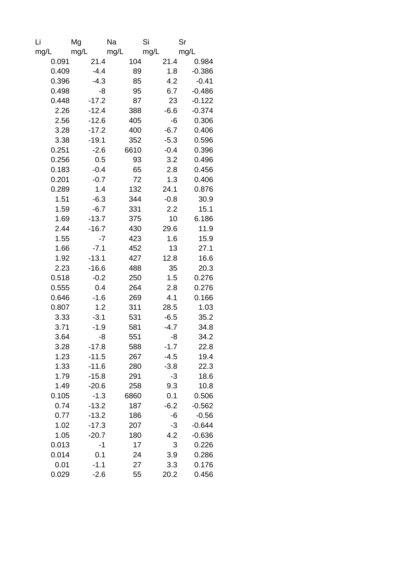| Li    | Mg      | Na   | Si     | Sr       |
|-------|---------|------|--------|----------|
| mg/L  | mg/L    | mg/L | mg/L   | mg/L     |
| 0.091 | 21.4    | 104  | 21.4   | 0.984    |
| 0.409 | $-4.4$  | 89   | 1.8    | $-0.386$ |
| 0.396 | $-4.3$  | 85   | 4.2    | $-0.41$  |
| 0.498 | -8      | 95   | 6.7    | $-0.486$ |
| 0.448 | $-17.2$ | 87   | 23     | $-0.122$ |
| 2.26  | $-12.4$ | 388  | $-6.6$ | $-0.374$ |
| 2.56  | $-12.6$ | 405  | -6     | 0.306    |
| 3.28  | $-17.2$ | 400  | $-6.7$ | 0.406    |
| 3.38  | $-19.1$ | 352  | $-5.3$ | 0.596    |
| 0.251 | $-2.6$  | 6610 | $-0.4$ | 0.396    |
| 0.256 | 0.5     | 93   | 3.2    | 0.496    |
| 0.183 | $-0.4$  | 65   | 2.8    | 0.456    |
| 0.201 | $-0.7$  | 72   | 1.3    | 0.406    |
| 0.289 | 1.4     | 132  | 24.1   | 0.876    |
| 1.51  | $-6.3$  | 344  | $-0.8$ | 30.9     |
| 1.59  | $-6.7$  | 331  | 2.2    | 15.1     |
| 1.69  | $-13.7$ | 375  | 10     | 6.186    |
| 2.44  | $-16.7$ | 430  | 29.6   | 11.9     |
| 1.55  | $-7$    | 423  | 1.6    | 15.9     |
| 1.66  | $-7.1$  | 452  | 13     | 27.1     |
| 1.92  | $-13.1$ | 427  | 12.8   | 16.6     |
| 2.23  | $-16.6$ | 488  | 35     | 20.3     |
| 0.518 | $-0.2$  | 250  | 1.5    | 0.276    |
| 0.555 | 0.4     | 264  | 2.8    | 0.276    |
| 0.646 | $-1.6$  | 269  | 4.1    | 0.166    |
| 0.807 | 1.2     | 311  | 28.5   | 1.03     |
| 3.33  | $-3.1$  | 531  | $-6.5$ | 35.2     |
| 3.71  | $-1.9$  | 581  | $-4.7$ | 34.8     |
| 3.64  | -8      | 551  | -8     | 34.2     |
| 3.28  | $-17.8$ | 588  | $-1.7$ | 22.8     |
| 1.23  | $-11.5$ | 267  | $-4.5$ | 19.4     |
| 1.33  | $-11.6$ | 280  | $-3.8$ | 22.3     |
| 1.79  | $-15.8$ | 291  | $-3$   | 18.6     |
| 1.49  | $-20.6$ | 258  | 9.3    | 10.8     |
| 0.105 | $-1.3$  | 6860 | 0.1    | 0.506    |
| 0.74  | $-13.2$ | 187  | $-6.2$ | $-0.562$ |
| 0.77  | $-13.2$ | 186  | $-6$   | $-0.56$  |
| 1.02  | $-17.3$ | 207  | $-3$   | $-0.644$ |
| 1.05  | $-20.7$ | 180  | 4.2    | $-0.636$ |
| 0.013 | $-1$    | 17   | 3      | 0.226    |
| 0.014 | 0.1     | 24   | 3.9    | 0.286    |
| 0.01  | $-1.1$  | 27   | 3.3    | 0.176    |
| 0.029 | $-2.6$  | 55   | 20.2   | 0.456    |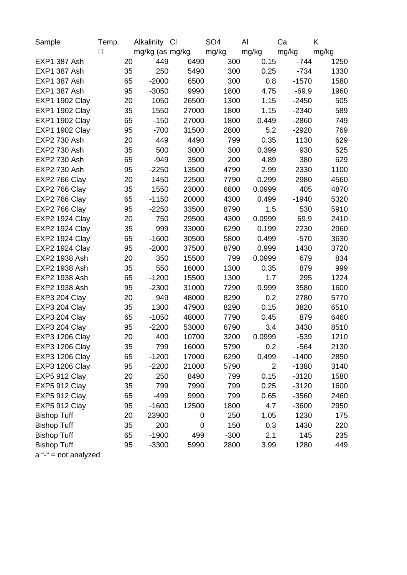| Sample                 | Temp.  | Alkalinity      | <b>CI</b> | SO <sub>4</sub> | Al     | Ca      | K     |
|------------------------|--------|-----------------|-----------|-----------------|--------|---------|-------|
|                        | $\Box$ | mg/kg (as mg/kg |           | mg/kg           | mg/kg  | mg/kg   | mg/kg |
| EXP1 387 Ash           | 20     | 449             | 6490      | 300             | 0.15   | $-744$  | 1250  |
| EXP1 387 Ash           | 35     | 250             | 5490      | 300             | 0.25   | $-734$  | 1330  |
| <b>EXP1 387 Ash</b>    | 65     | $-2000$         | 6500      | 300             | 0.8    | $-1570$ | 1580  |
| EXP1 387 Ash           | 95     | $-3050$         | 9990      | 1800            | 4.75   | $-69.9$ | 1960  |
| <b>EXP1 1902 Clay</b>  | 20     | 1050            | 26500     | 1300            | 1.15   | $-2450$ | 505   |
| <b>EXP1 1902 Clay</b>  | 35     | 1550            | 27000     | 1800            | 1.15   | $-2340$ | 589   |
| <b>EXP1 1902 Clay</b>  | 65     | $-150$          | 27000     | 1800            | 0.449  | $-2860$ | 749   |
| <b>EXP1 1902 Clay</b>  | 95     | $-700$          | 31500     | 2800            | 5.2    | $-2920$ | 769   |
| EXP2 730 Ash           | 20     | 449             | 4490      | 799             | 0.35   | 1130    | 629   |
| EXP2 730 Ash           | 35     | 500             | 3000      | 300             | 0.399  | 930     | 525   |
| EXP2 730 Ash           | 65     | $-949$          | 3500      | 200             | 4.89   | 380     | 629   |
| EXP2 730 Ash           | 95     | $-2250$         | 13500     | 4790            | 2.99   | 2330    | 1100  |
| EXP2 766 Clay          | 20     | 1450            | 22500     | 7790            | 0.299  | 2980    | 4560  |
| EXP2 766 Clay          | 35     | 1550            | 23000     | 6800            | 0.0999 | 405     | 4870  |
| EXP2 766 Clay          | 65     | $-1150$         | 20000     | 4300            | 0.499  | $-1940$ | 5320  |
| EXP2 766 Clay          | 95     | $-2250$         | 33500     | 8790            | 1.5    | 530     | 5910  |
| <b>EXP2 1924 Clay</b>  | 20     | 750             | 29500     | 4300            | 0.0999 | 69.9    | 2410  |
| <b>EXP2 1924 Clay</b>  | 35     | 999             | 33000     | 6290            | 0.199  | 2230    | 2960  |
| <b>EXP2 1924 Clay</b>  | 65     | $-1600$         | 30500     | 5800            | 0.499  | $-570$  | 3630  |
| <b>EXP2 1924 Clay</b>  | 95     | $-2000$         | 37500     | 8790            | 0.999  | 1430    | 3720  |
| EXP2 1938 Ash          | 20     | 350             | 15500     | 799             | 0.0999 | 679     | 834   |
| EXP2 1938 Ash          | 35     | 550             | 16000     | 1300            | 0.35   | 879     | 999   |
| EXP2 1938 Ash          | 65     | $-1200$         | 15500     | 1300            | 1.7    | 295     | 1224  |
| EXP2 1938 Ash          | 95     | $-2300$         | 31000     | 7290            | 0.999  | 3580    | 1600  |
| EXP3 204 Clay          | 20     | 949             | 48000     | 8290            | 0.2    | 2780    | 5770  |
| EXP3 204 Clay          | 35     | 1300            | 47900     | 8290            | 0.15   | 3820    | 6510  |
| EXP3 204 Clay          | 65     | $-1050$         | 48000     | 7790            | 0.45   | 879     | 6460  |
| EXP3 204 Clay          | 95     | $-2200$         | 53000     | 6790            | 3.4    | 3430    | 8510  |
| <b>EXP3 1206 Clay</b>  | 20     | 400             | 10700     | 3200            | 0.0999 | $-539$  | 1210  |
| <b>EXP3 1206 Clay</b>  | 35     | 799             | 16000     | 5790            | 0.2    | $-564$  | 2130  |
| <b>EXP3 1206 Clay</b>  | 65     | $-1200$         | 17000     | 6290            | 0.499  | $-1400$ | 2850  |
| <b>EXP3 1206 Clay</b>  | 95     | $-2200$         | 21000     | 5790            | 2      | $-1380$ | 3140  |
| <b>EXP5 912 Clay</b>   | 20     | 250             | 8490      | 799             | 0.15   | $-3120$ | 1580  |
| <b>EXP5 912 Clay</b>   | 35     | 799             | 7990      | 799             | 0.25   | $-3120$ | 1600  |
| <b>EXP5 912 Clay</b>   | 65     | $-499$          | 9990      | 799             | 0.65   | $-3560$ | 2460  |
| <b>EXP5 912 Clay</b>   | 95     | $-1600$         | 12500     | 1800            | 4.7    | $-3600$ | 2950  |
| <b>Bishop Tuff</b>     | 20     | 23900           | 0         | 250             | 1.05   | 1230    | 175   |
| <b>Bishop Tuff</b>     | 35     | 200             | 0         | 150             | 0.3    | 1430    | 220   |
| <b>Bishop Tuff</b>     | 65     | $-1900$         | 499       | $-300$          | 2.1    | 145     | 235   |
| <b>Bishop Tuff</b>     | 95     | $-3300$         | 5990      | 2800            | 3.99   | 1280    | 449   |
| $a$ "-" = not analyzed |        |                 |           |                 |        |         |       |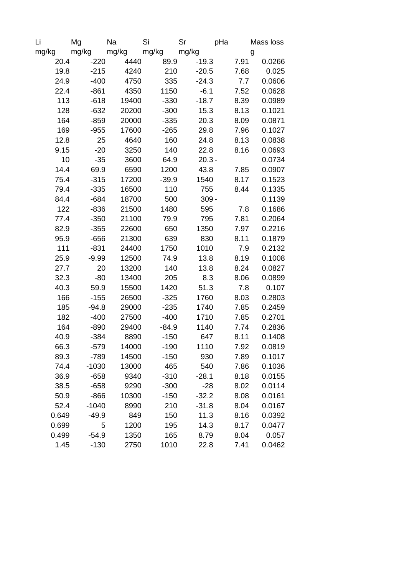| Li    | Mg      | Na        | Si      | Sr       | pHa  | Mass loss |
|-------|---------|-----------|---------|----------|------|-----------|
| mg/kg | mg/kg   | mg/kg     | mg/kg   | mg/kg    |      | g         |
| 20.4  | $-220$  | 4440      | 89.9    | $-19.3$  | 7.91 | 0.0266    |
| 19.8  | $-215$  | 4240      | 210     | $-20.5$  | 7.68 | 0.025     |
| 24.9  | $-400$  | 4750      | 335     | $-24.3$  | 7.7  | 0.0606    |
| 22.4  | $-861$  | 4350      | 1150    | $-6.1$   | 7.52 | 0.0628    |
| 113   | $-618$  | 19400     | $-330$  | $-18.7$  | 8.39 | 0.0989    |
| 128   | $-632$  | 20200     | $-300$  | 15.3     | 8.13 | 0.1021    |
| 164   | $-859$  | 20000     | $-335$  | 20.3     | 8.09 | 0.0871    |
| 169   | $-955$  | 17600     | $-265$  | 29.8     | 7.96 | 0.1027    |
| 12.8  | 25      | 4640      | 160     | 24.8     | 8.13 | 0.0838    |
| 9.15  | $-20$   | 3250      | 140     | 22.8     | 8.16 | 0.0693    |
| 10    | $-35$   | 3600      | 64.9    | $20.3 -$ |      | 0.0734    |
| 14.4  | 69.9    | 6590      | 1200    | 43.8     | 7.85 | 0.0907    |
| 75.4  | $-315$  | 17200     | $-39.9$ | 1540     | 8.17 | 0.1523    |
| 79.4  | $-335$  | 16500     | 110     | 755      | 8.44 | 0.1335    |
| 84.4  | $-684$  | 18700     | 500     | $309 -$  |      | 0.1139    |
| 122   | $-836$  | 21500     | 1480    | 595      | 7.8  | 0.1686    |
| 77.4  | $-350$  | 21100     | 79.9    | 795      | 7.81 | 0.2064    |
| 82.9  | $-355$  | 22600     | 650     | 1350     | 7.97 | 0.2216    |
| 95.9  | $-656$  | 21300     | 639     | 830      | 8.11 | 0.1879    |
| 111   | $-831$  | 24400     | 1750    | 1010     | 7.9  | 0.2132    |
| 25.9  | $-9.99$ | 12500     | 74.9    | 13.8     | 8.19 | 0.1008    |
| 27.7  | 20      | 13200     | 140     | 13.8     | 8.24 | 0.0827    |
| 32.3  | $-80$   | 13400     | 205     | 8.3      | 8.06 | 0.0899    |
| 40.3  | 59.9    | 15500     | 1420    | 51.3     | 7.8  | 0.107     |
| 166   | $-155$  | 26500     | $-325$  | 1760     | 8.03 | 0.2803    |
| 185   | $-94.8$ | 29000     | $-235$  | 1740     | 7.85 | 0.2459    |
| 182   | $-400$  | 27500     | $-400$  | 1710     | 7.85 | 0.2701    |
| 164   | $-890$  | 29400     | $-84.9$ | 1140     | 7.74 | 0.2836    |
| 40.9  | $-384$  | 8890      | $-150$  | 647      | 8.11 | 0.1408    |
| 66.3  | $-579$  | 14000     | $-190$  | 1110     | 7.92 | 0.0819    |
| 89.3  | $-789$  | 14500     | $-150$  | 930      | 7.89 | 0.1017    |
| 74.4  | $-1030$ | 13000     | 465     | 540      | 7.86 | 0.1036    |
| 36.9  | $-658$  | 9340      | $-310$  | $-28.1$  | 8.18 | 0.0155    |
| 38.5  | $-658$  | 9290      | $-300$  | $-28$    | 8.02 | 0.0114    |
| 50.9  | $-866$  | 10300     | $-150$  | $-32.2$  | 8.08 | 0.0161    |
| 52.4  | $-1040$ | 8990      | 210     | $-31.8$  | 8.04 | 0.0167    |
| 0.649 | $-49.9$ | 849       | 150     | 11.3     | 8.16 | 0.0392    |
| 0.699 |         | 5<br>1200 | 195     | 14.3     | 8.17 | 0.0477    |
| 0.499 | $-54.9$ | 1350      | 165     | 8.79     | 8.04 | 0.057     |
| 1.45  | $-130$  | 2750      | 1010    | 22.8     | 7.41 | 0.0462    |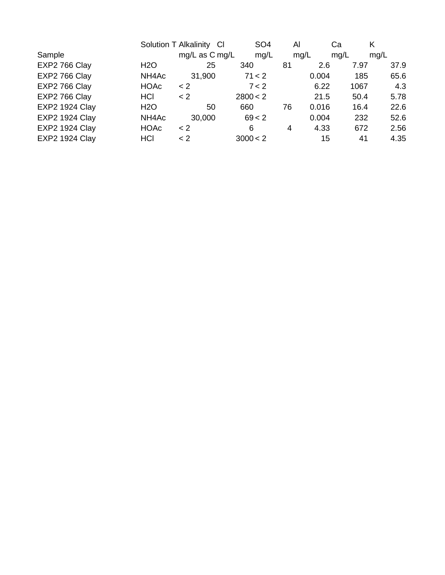| mq/L |
|------|
|      |
| 37.9 |
| 65.6 |
| 4.3  |
| 5.78 |
| 22.6 |
| 52.6 |
| 2.56 |
| 4.35 |
|      |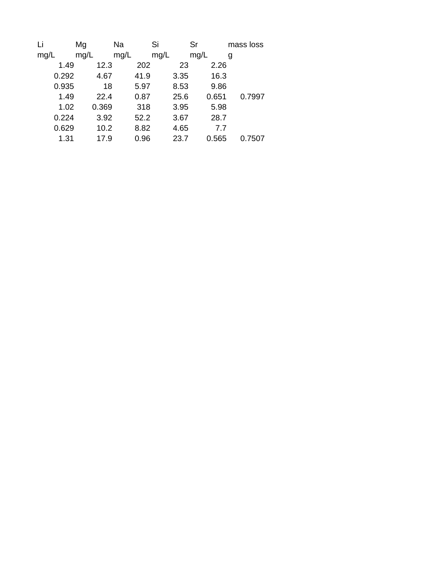| Li    | Mg    | Na   | Si   | Sr    | mass loss |
|-------|-------|------|------|-------|-----------|
| mg/L  | mg/L  | mg/L | mg/L | mg/L  | g         |
| 1.49  | 12.3  | 202  | 23   | 2.26  |           |
| 0.292 | 4.67  | 41.9 | 3.35 | 16.3  |           |
| 0.935 | 18    | 5.97 | 8.53 | 9.86  |           |
| 1.49  | 22.4  | 0.87 | 25.6 | 0.651 | 0.7997    |
| 1.02  | 0.369 | 318  | 3.95 | 5.98  |           |
| 0.224 | 3.92  | 52.2 | 3.67 | 28.7  |           |
| 0.629 | 10.2  | 8.82 | 4.65 | 7.7   |           |
| 1.31  | 17.9  | 0.96 | 23.7 | 0.565 | 0.7507    |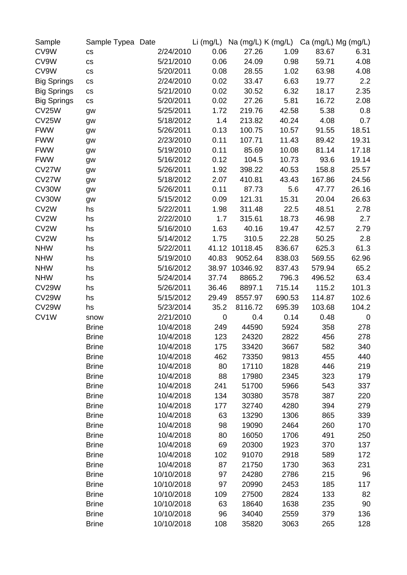| Sample             | Sample Typea Date    |            |             |                |        |        | Li (mg/L) Na (mg/L) K (mg/L) Ca (mg/L) Mg (mg/L) |
|--------------------|----------------------|------------|-------------|----------------|--------|--------|--------------------------------------------------|
| CV9W               | $\mathsf{CS}\xspace$ | 2/24/2010  | 0.06        | 27.26          | 1.09   | 83.67  | 6.31                                             |
| CV9W               | $\mathsf{CS}\xspace$ | 5/21/2010  | 0.06        | 24.09          | 0.98   | 59.71  | 4.08                                             |
| CV9W               | CS                   | 5/20/2011  | 0.08        | 28.55          | 1.02   | 63.98  | 4.08                                             |
| <b>Big Springs</b> | $\mathsf{CS}\xspace$ | 2/24/2010  | 0.02        | 33.47          | 6.63   | 19.77  | 2.2                                              |
| <b>Big Springs</b> | $\mathsf{CS}\xspace$ | 5/21/2010  | 0.02        | 30.52          | 6.32   | 18.17  | 2.35                                             |
| <b>Big Springs</b> | $\mathsf{CS}\xspace$ | 5/20/2011  | 0.02        | 27.26          | 5.81   | 16.72  | 2.08                                             |
| CV25W              | gw                   | 5/25/2011  | 1.72        | 219.76         | 42.58  | 5.38   | 0.8                                              |
| CV25W              | gw                   | 5/18/2012  | 1.4         | 213.82         | 40.24  | 4.08   | 0.7                                              |
| <b>FWW</b>         | gw                   | 5/26/2011  | 0.13        | 100.75         | 10.57  | 91.55  | 18.51                                            |
| <b>FWW</b>         | gw                   | 2/23/2010  | 0.11        | 107.71         | 11.43  | 89.42  | 19.31                                            |
| <b>FWW</b>         | gw                   | 5/19/2010  | 0.11        | 85.69          | 10.08  | 81.14  | 17.18                                            |
| <b>FWW</b>         | gw                   | 5/16/2012  | 0.12        | 104.5          | 10.73  | 93.6   | 19.14                                            |
| CV27W              | gw                   | 5/26/2011  | 1.92        | 398.22         | 40.53  | 158.8  | 25.57                                            |
| CV27W              | gw                   | 5/18/2012  | 2.07        | 410.81         | 43.43  | 167.86 | 24.56                                            |
| CV30W              | gw                   | 5/26/2011  | 0.11        | 87.73          | 5.6    | 47.77  | 26.16                                            |
| CV30W              | gw                   | 5/15/2012  | 0.09        | 121.31         | 15.31  | 20.04  | 26.63                                            |
| CV2W               | hs                   | 5/22/2011  | 1.98        | 311.48         | 22.5   | 48.51  | 2.78                                             |
| CV <sub>2</sub> W  | hs                   | 2/22/2010  | 1.7         | 315.61         | 18.73  | 46.98  | 2.7                                              |
| CV2W               | hs                   | 5/16/2010  | 1.63        | 40.16          | 19.47  | 42.57  | 2.79                                             |
| CV2W               | hs                   | 5/14/2012  | 1.75        | 310.5          | 22.28  | 50.25  | 2.8                                              |
| <b>NHW</b>         | hs                   | 5/22/2011  |             | 41.12 10118.45 | 836.67 | 625.3  | 61.3                                             |
| <b>NHW</b>         | hs                   | 5/19/2010  | 40.83       | 9052.64        | 838.03 | 569.55 | 62.96                                            |
| <b>NHW</b>         | hs                   | 5/16/2012  | 38.97       | 10346.92       | 837.43 | 579.94 | 65.2                                             |
| <b>NHW</b>         | hs                   | 5/24/2014  | 37.74       | 8865.2         | 796.3  | 496.52 | 63.4                                             |
| CV29W              | hs                   | 5/26/2011  | 36.46       | 8897.1         | 715.14 | 115.2  | 101.3                                            |
| CV29W              | hs                   | 5/15/2012  | 29.49       | 8557.97        | 690.53 | 114.87 | 102.6                                            |
| CV29W              | hs                   | 5/23/2014  | 35.2        | 8116.72        | 695.39 | 103.68 | 104.2                                            |
| CV1W               | snow                 | 2/21/2010  | $\mathbf 0$ | 0.4            | 0.14   | 0.48   | 0                                                |
|                    | <b>Brine</b>         | 10/4/2018  | 249         | 44590          | 5924   | 358    | 278                                              |
|                    | <b>Brine</b>         | 10/4/2018  | 123         | 24320          | 2822   | 456    | 278                                              |
|                    | <b>Brine</b>         | 10/4/2018  | 175         | 33420          | 3667   | 582    | 340                                              |
|                    | <b>Brine</b>         | 10/4/2018  | 462         | 73350          | 9813   | 455    | 440                                              |
|                    | <b>Brine</b>         | 10/4/2018  | 80          | 17110          | 1828   | 446    | 219                                              |
|                    | <b>Brine</b>         | 10/4/2018  | 88          | 17980          | 2345   | 323    | 179                                              |
|                    | <b>Brine</b>         | 10/4/2018  | 241         | 51700          | 5966   | 543    | 337                                              |
|                    | <b>Brine</b>         | 10/4/2018  | 134         | 30380          | 3578   | 387    | 220                                              |
|                    | <b>Brine</b>         | 10/4/2018  | 177         | 32740          | 4280   | 394    | 279                                              |
|                    | <b>Brine</b>         | 10/4/2018  | 63          | 13290          | 1306   | 865    | 339                                              |
|                    | <b>Brine</b>         | 10/4/2018  | 98          | 19090          | 2464   | 260    | 170                                              |
|                    | <b>Brine</b>         | 10/4/2018  | 80          | 16050          | 1706   | 491    | 250                                              |
|                    | <b>Brine</b>         | 10/4/2018  | 69          | 20300          | 1923   | 370    | 137                                              |
|                    | <b>Brine</b>         | 10/4/2018  | 102         | 91070          | 2918   | 589    | 172                                              |
|                    | <b>Brine</b>         | 10/4/2018  | 87          | 21750          | 1730   | 363    | 231                                              |
|                    | <b>Brine</b>         | 10/10/2018 | 97          | 24280          | 2786   | 215    | 96                                               |
|                    | <b>Brine</b>         | 10/10/2018 | 97          | 20990          | 2453   | 185    | 117                                              |
|                    | <b>Brine</b>         | 10/10/2018 | 109         | 27500          | 2824   | 133    | 82                                               |
|                    | <b>Brine</b>         | 10/10/2018 | 63          | 18640          | 1638   | 235    | 90                                               |
|                    | <b>Brine</b>         | 10/10/2018 | 96          | 34040          | 2559   | 379    | 136                                              |
|                    | <b>Brine</b>         | 10/10/2018 | 108         | 35820          | 3063   | 265    | 128                                              |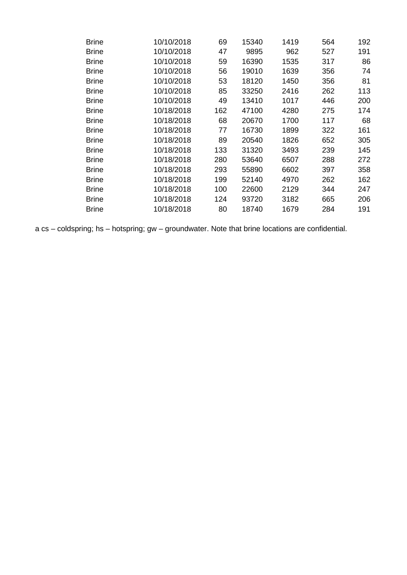| <b>Brine</b> | 10/10/2018 | 69  | 15340 | 1419 | 564 | 192 |
|--------------|------------|-----|-------|------|-----|-----|
| <b>Brine</b> | 10/10/2018 | 47  | 9895  | 962  | 527 | 191 |
| <b>Brine</b> | 10/10/2018 | 59  | 16390 | 1535 | 317 | 86  |
| <b>Brine</b> | 10/10/2018 | 56  | 19010 | 1639 | 356 | 74  |
| <b>Brine</b> | 10/10/2018 | 53  | 18120 | 1450 | 356 | 81  |
| <b>Brine</b> | 10/10/2018 | 85  | 33250 | 2416 | 262 | 113 |
| <b>Brine</b> | 10/10/2018 | 49  | 13410 | 1017 | 446 | 200 |
| <b>Brine</b> | 10/18/2018 | 162 | 47100 | 4280 | 275 | 174 |
| <b>Brine</b> | 10/18/2018 | 68  | 20670 | 1700 | 117 | 68  |
| <b>Brine</b> | 10/18/2018 | 77  | 16730 | 1899 | 322 | 161 |
| <b>Brine</b> | 10/18/2018 | 89  | 20540 | 1826 | 652 | 305 |
| <b>Brine</b> | 10/18/2018 | 133 | 31320 | 3493 | 239 | 145 |
| <b>Brine</b> | 10/18/2018 | 280 | 53640 | 6507 | 288 | 272 |
| <b>Brine</b> | 10/18/2018 | 293 | 55890 | 6602 | 397 | 358 |
| <b>Brine</b> | 10/18/2018 | 199 | 52140 | 4970 | 262 | 162 |
| <b>Brine</b> | 10/18/2018 | 100 | 22600 | 2129 | 344 | 247 |
| <b>Brine</b> | 10/18/2018 | 124 | 93720 | 3182 | 665 | 206 |
| <b>Brine</b> | 10/18/2018 | 80  | 18740 | 1679 | 284 | 191 |

a cs – coldspring; hs – hotspring; gw – groundwater. Note that brine locations are confidential.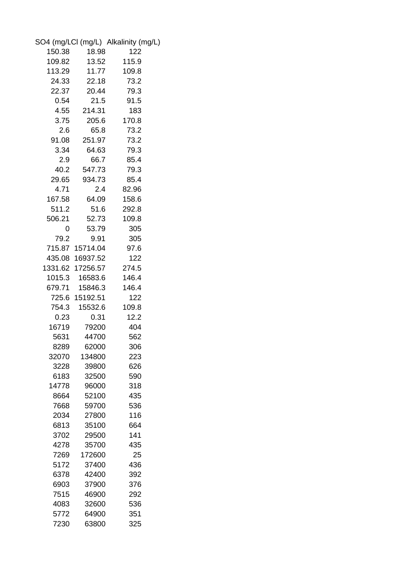|        |                  | SO4 (mg/LCI (mg/L) Alkalinity (mg/L) |
|--------|------------------|--------------------------------------|
| 150.38 | 18.98            | 122                                  |
| 109.82 | 13.52            | 115.9                                |
| 113.29 | 11.77            | 109.8                                |
| 24.33  | 22.18            | 73.2                                 |
| 22.37  | 20.44            | 79.3                                 |
| 0.54   | 21.5             | 91.5                                 |
| 4.55   | 214.31           | 183                                  |
| 3.75   | 205.6            | 170.8                                |
| 2.6    | 65.8             | 73.2                                 |
| 91.08  | 251.97           | 73.2                                 |
| 3.34   | 64.63            | 79.3                                 |
| 2.9    | 66.7             | 85.4                                 |
| 40.2   | 547.73           | 79.3                                 |
| 29.65  | 934.73           | 85.4                                 |
| 4.71   | $2.4\,$          | 82.96                                |
| 167.58 | 64.09            | 158.6                                |
| 511.2  | 51.6             | 292.8                                |
| 506.21 | 52.73            | 109.8                                |
| 0      | 53.79            | 305                                  |
| 79.2   | 9.91             | 305                                  |
|        | 715.87 15714.04  | 97.6                                 |
|        | 435.08 16937.52  | 122                                  |
|        | 1331.62 17256.57 | 274.5                                |
|        | 1015.3 16583.6   | 146.4                                |
|        | 679.71 15846.3   | 146.4                                |
|        | 725.6 15192.51   | 122                                  |
| 754.3  | 15532.6          | 109.8                                |
| 0.23   | 0.31             | 12.2                                 |
| 16719  | 79200            | 404                                  |
| 5631   | 44700            | 562                                  |
| 8289   | 62000            | 306                                  |
| 32070  | 134800           | 223                                  |
| 3228   | 39800            | 626                                  |
| 6183   | 32500            | 590                                  |
| 14778  | 96000            | 318                                  |
| 8664   | 52100            | 435                                  |
| 7668   | 59700            | 536                                  |
| 2034   | 27800            | 116                                  |
| 6813   | 35100            | 664                                  |
| 3702   | 29500            | 141                                  |
| 4278   | 35700            | 435                                  |
| 7269   | 172600           | 25                                   |
| 5172   | 37400            | 436                                  |
| 6378   | 42400            | 392                                  |
| 6903   | 37900            | 376                                  |
| 7515   | 46900            | 292                                  |
| 4083   | 32600            | 536                                  |
| 5772   | 64900            | 351                                  |
| 7230   | 63800            | 325                                  |
|        |                  |                                      |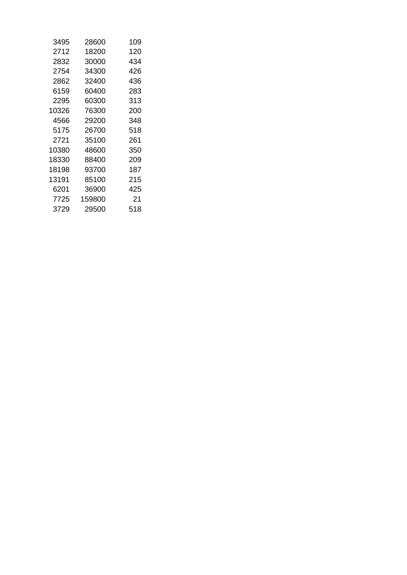| 3495  | 28600  | 109 |
|-------|--------|-----|
| 2712  | 18200  | 120 |
| 2832  | 30000  | 434 |
| 2754  | 34300  | 426 |
| 2862  | 32400  | 436 |
| 6159  | 60400  | 283 |
| 2295  | 60300  | 313 |
| 10326 | 76300  | 200 |
| 4566  | 29200  | 348 |
| 5175  | 26700  | 518 |
| 2721  | 35100  | 261 |
| 10380 | 48600  | 350 |
| 18330 | 88400  | 209 |
| 18198 | 93700  | 187 |
| 13191 | 85100  | 215 |
| 6201  | 36900  | 425 |
| 7725  | 159800 | 21  |
| 3729  | 29500  | 518 |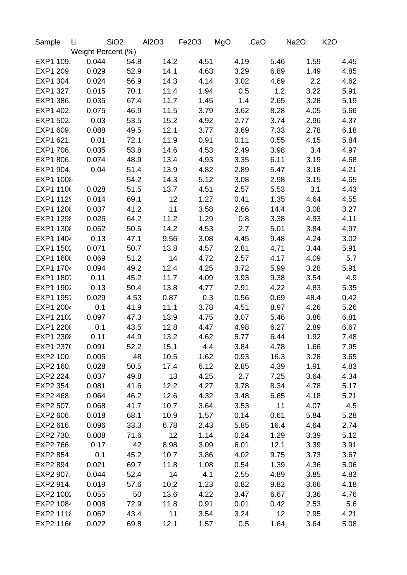| Sample     | Li |       | SiO <sub>2</sub>   |      | Al2O3 | Fe2O3 |      | MgO |      | CaO |      | Na2O |      | K <sub>2</sub> O |      |
|------------|----|-------|--------------------|------|-------|-------|------|-----|------|-----|------|------|------|------------------|------|
|            |    |       | Weight Percent (%) |      |       |       |      |     |      |     |      |      |      |                  |      |
| EXP1 109.  |    | 0.044 |                    | 54.8 | 14.2  |       | 4.51 |     | 4.19 |     | 5.46 |      | 1.59 |                  | 4.45 |
| EXP1 209.  |    | 0.029 |                    | 52.9 | 14.1  |       | 4.63 |     | 3.29 |     | 6.89 |      | 1.49 |                  | 4.85 |
| EXP1 304.  |    | 0.024 |                    | 56.9 | 14.3  |       | 4.14 |     | 3.02 |     | 4.69 |      | 2.2  |                  | 4.62 |
| EXP1 327.  |    | 0.015 |                    | 70.1 | 11.4  |       | 1.94 |     | 0.5  |     | 1.2  |      | 3.22 |                  | 5.91 |
| EXP1 386.  |    | 0.035 |                    | 67.4 | 11.7  |       | 1.45 |     | 1.4  |     | 2.65 |      | 3.28 |                  | 5.19 |
| EXP1 402.  |    | 0.075 |                    | 46.9 | 11.5  |       | 3.79 |     | 3.62 |     | 8.28 |      | 4.05 |                  | 5.66 |
| EXP1 502.  |    | 0.03  |                    | 53.5 | 15.2  |       | 4.92 |     | 2.77 |     | 3.74 |      | 2.96 |                  | 4.37 |
| EXP1 609.  |    | 0.088 |                    | 49.5 | 12.1  |       | 3.77 |     | 3.69 |     | 7.33 |      | 2.78 |                  | 6.18 |
| EXP1 621.  |    | 0.01  |                    | 72.1 | 11.9  |       | 0.91 |     | 0.11 |     | 0.55 |      | 4.15 |                  | 5.84 |
| EXP1 706.  |    | 0.035 |                    | 53.8 | 14.6  |       | 4.53 |     | 2.49 |     | 3.98 |      | 3.4  |                  | 4.97 |
| EXP1 806.  |    | 0.074 |                    | 48.9 | 13.4  |       | 4.93 |     | 3.35 |     | 6.11 |      | 3.19 |                  | 4.68 |
| EXP1 904.  |    | 0.04  |                    | 51.4 | 13.9  |       | 4.82 |     | 2.89 |     | 5.47 |      | 3.18 |                  | 4.21 |
| EXP1 100{- |    |       |                    | 54.2 | 14.3  |       | 5.12 |     | 3.08 |     | 2.98 |      | 3.15 |                  | 4.65 |
| EXP1 110(  |    | 0.028 |                    | 51.5 | 13.7  |       | 4.51 |     | 2.57 |     | 5.53 |      | 3.1  |                  | 4.43 |
| EXP1 1129  |    | 0.014 |                    | 69.1 | 12    |       | 1.27 |     | 0.41 |     | 1.35 |      | 4.64 |                  | 4.55 |
| EXP1 1208  |    | 0.037 |                    | 41.2 | 11    |       | 3.58 |     | 2.66 |     | 14.4 |      | 3.08 |                  | 3.27 |
| EXP1 1298  |    | 0.026 |                    | 64.2 | 11.2  |       | 1.29 |     | 0.8  |     | 3.38 |      | 4.93 |                  | 4.11 |
| EXP1 1308  |    | 0.052 |                    | 50.5 | 14.2  |       | 4.53 |     | 2.7  |     | 5.01 |      | 3.84 |                  | 4.97 |
| EXP1 1404  |    | 0.13  |                    | 47.1 | 9.56  |       | 3.08 |     | 4.45 |     | 9.48 |      | 4.24 |                  | 3.02 |
| EXP1 1502  |    | 0.071 |                    | 50.7 | 13.8  |       | 4.57 |     | 2.81 |     | 4.71 |      | 3.44 |                  | 5.91 |
| EXP1 1608  |    | 0.069 |                    | 51.2 | 14    |       | 4.72 |     | 2.57 |     | 4.17 |      | 4.09 |                  | 5.7  |
| EXP1 1704  |    | 0.094 |                    | 49.2 | 12.4  |       | 4.25 |     | 3.72 |     | 5.99 |      | 3.28 |                  | 5.91 |
|            |    |       |                    |      |       |       |      |     |      |     |      |      |      |                  |      |
| EXP1 180   |    | 0.11  |                    | 45.2 | 11.7  |       | 4.09 |     | 3.93 |     | 9.38 |      | 3.54 |                  | 4.9  |
| EXP1 1902  |    | 0.13  |                    | 50.4 | 13.8  |       | 4.77 |     | 2.91 |     | 4.22 |      | 4.83 |                  | 5.35 |
| EXP1 195   |    | 0.029 |                    | 4.53 | 0.87  |       | 0.3  |     | 0.56 |     | 0.69 |      | 48.4 |                  | 0.42 |
| EXP1 2004  |    | 0.1   |                    | 41.9 | 11.1  |       | 3.78 |     | 4.51 |     | 8.97 |      | 4.26 |                  | 5.26 |
| EXP1 2102  |    | 0.097 |                    | 47.3 | 13.9  |       | 4.75 |     | 3.07 |     | 5.46 |      | 3.86 |                  | 6.81 |
| EXP1 2208  |    | 0.1   |                    | 43.5 | 12.8  |       | 4.47 |     | 4.98 |     | 6.27 |      | 2.89 |                  | 6.67 |
| EXP1 2308  |    | 0.11  |                    | 44.9 | 13.2  |       | 4.62 |     | 5.77 |     | 6.44 |      | 1.92 |                  | 7.48 |
| EXP1 2370  |    | 0.091 |                    | 52.2 | 15.1  |       | 4.4  |     | 3.84 |     | 4.78 |      | 1.66 |                  | 7.95 |
| EXP2 100.  |    | 0.005 |                    | 48   | 10.5  |       | 1.62 |     | 0.93 |     | 16.3 |      | 3.28 |                  | 3.65 |
| EXP2 160.  |    | 0.028 |                    | 50.5 | 17.4  |       | 6.12 |     | 2.85 |     | 4.39 |      | 1.91 |                  | 4.83 |
| EXP2 224.  |    | 0.037 |                    | 49.8 | 13    |       | 4.25 |     | 2.7  |     | 7.25 |      | 3.64 |                  | 4.34 |
| EXP2 354.  |    | 0.081 |                    | 41.6 | 12.2  |       | 4.27 |     | 3.78 |     | 8.34 |      | 4.78 |                  | 5.17 |
| EXP2 468.  |    | 0.064 |                    | 46.2 | 12.6  |       | 4.32 |     | 3.48 |     | 6.65 |      | 4.18 |                  | 5.21 |
| EXP2 507.  |    | 0.068 |                    | 41.7 | 10.7  |       | 3.64 |     | 3.53 |     | 11   |      | 4.07 |                  | 4.5  |
| EXP2 606.  |    | 0.018 |                    | 68.1 | 10.9  |       | 1.57 |     | 0.14 |     | 0.61 |      | 5.84 |                  | 5.28 |
| EXP2 616.  |    | 0.096 |                    | 33.3 | 6.78  |       | 2.43 |     | 5.85 |     | 16.4 |      | 4.64 |                  | 2.74 |
| EXP2 730.  |    | 0.008 |                    | 71.6 | 12    |       | 1.14 |     | 0.24 |     | 1.29 |      | 3.39 |                  | 5.12 |
| EXP2 766.  |    | 0.17  |                    | 42   | 8.98  |       | 3.09 |     | 6.01 |     | 12.1 |      | 3.39 |                  | 3.91 |
| EXP2 854.  |    | 0.1   |                    | 45.2 | 10.7  |       | 3.86 |     | 4.02 |     | 9.75 |      | 3.73 |                  | 3.67 |
| EXP2 894.  |    | 0.021 |                    | 69.7 | 11.8  |       | 1.08 |     | 0.54 |     | 1.39 |      | 4.36 |                  | 5.06 |
| EXP2 907.  |    | 0.044 |                    | 52.4 | 14    |       | 4.1  |     | 2.55 |     | 4.89 |      | 3.85 |                  | 4.83 |
| EXP2 914.  |    | 0.019 |                    | 57.6 | 10.2  |       | 1.23 |     | 0.82 |     | 9.82 |      | 3.66 |                  | 4.18 |
| EXP2 1002  |    | 0.055 |                    | 50   | 13.6  |       | 4.22 |     | 3.47 |     | 6.67 |      | 3.36 |                  | 4.76 |
| EXP2 1084  |    | 0.008 |                    | 72.9 | 11.8  |       | 0.91 |     | 0.01 |     | 0.42 |      | 2.53 |                  | 5.6  |
| EXP2 1118  |    | 0.062 |                    | 43.4 | 11    |       | 3.54 |     | 3.24 |     | 12   |      | 2.95 |                  | 4.21 |
| EXP2 1166  |    | 0.022 |                    | 69.8 | 12.1  |       | 1.57 |     | 0.5  |     | 1.64 |      | 3.64 |                  | 5.08 |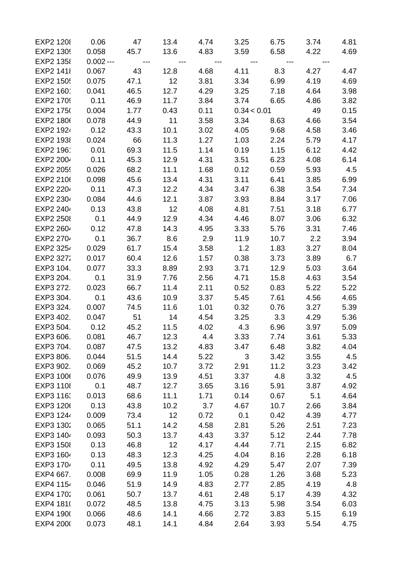| EXP2 1208        | 0.06        | 47    | 13.4  | 4.74  | 3.25        | 6.75                                                                                                                 | 3.74  | 4.81 |
|------------------|-------------|-------|-------|-------|-------------|----------------------------------------------------------------------------------------------------------------------|-------|------|
| EXP2 1309        | 0.058       | 45.7  | 13.6  | 4.83  | 3.59        | 6.58                                                                                                                 | 4.22  | 4.69 |
| EXP2 1358        | $0.002 - -$ | $---$ | $---$ | $---$ |             | <u> 1989 - 1991 - 1992 - 1993 - 1994 - 1994 - 1994 - 1994 - 1994 - 1994 - 1994 - 1994 - 1994 - 1994 - 1994 - 199</u> | $---$ |      |
| EXP2 1418        | 0.067       | 43    | 12.8  | 4.68  | 4.11        | 8.3                                                                                                                  | 4.27  | 4.47 |
| <b>EXP2 150!</b> | 0.075       | 47.1  | 12    | 3.81  | 3.34        | 6.99                                                                                                                 | 4.19  | 4.69 |
| EXP2 1601        | 0.041       | 46.5  | 12.7  | 4.29  | 3.25        | 7.18                                                                                                                 | 4.64  | 3.98 |
| EXP2 1709        | 0.11        | 46.9  | 11.7  | 3.84  | 3.74        | 6.65                                                                                                                 | 4.86  | 3.82 |
| EXP2 1750        | 0.004       | 1.77  | 0.43  | 0.11  | 0.34 < 0.01 |                                                                                                                      | 49    | 0.15 |
| EXP2 1806        | 0.078       | 44.9  | 11    | 3.58  | 3.34        | 8.63                                                                                                                 | 4.66  | 3.54 |
| EXP2 1924        | 0.12        | 43.3  | 10.1  | 3.02  | 4.05        | 9.68                                                                                                                 | 4.58  | 3.46 |
| EXP2 1938        | 0.024       | 66    | 11.3  | 1.27  | 1.03        | 2.24                                                                                                                 | 5.79  | 4.17 |
| EXP2 1961        | 0.01        | 69.3  | 11.5  | 1.14  | 0.19        | 1.15                                                                                                                 | 6.12  | 4.42 |
| EXP2 2004        | 0.11        | 45.3  | 12.9  | 4.31  | 3.51        | 6.23                                                                                                                 | 4.08  | 6.14 |
| EXP2 2059        | 0.026       | 68.2  | 11.1  | 1.68  | 0.12        | 0.59                                                                                                                 | 5.93  | 4.5  |
| EXP2 2106        | 0.098       | 45.6  | 13.4  | 4.31  | 3.11        | 6.41                                                                                                                 | 3.85  | 6.99 |
| EXP2 2204        | 0.11        | 47.3  | 12.2  | 4.34  | 3.47        | 6.38                                                                                                                 | 3.54  | 7.34 |
| EXP2 2304        | 0.084       | 44.6  | 12.1  | 3.87  | 3.93        | 8.84                                                                                                                 | 3.17  | 7.06 |
| EXP2 2404        | 0.13        | 43.8  | 12    | 4.08  | 4.81        | 7.51                                                                                                                 | 3.18  | 6.77 |
| <b>EXP2 2508</b> | 0.1         | 44.9  | 12.9  | 4.34  | 4.46        | 8.07                                                                                                                 | 3.06  | 6.32 |
| EXP2 2604        | 0.12        | 47.8  | 14.3  | 4.95  | 3.33        | 5.76                                                                                                                 | 3.31  | 7.46 |
| EXP2 2704        | 0.1         | 36.7  | 8.6   | 2.9   | 11.9        | 10.7                                                                                                                 | 2.2   | 3.94 |
| EXP2 3254        | 0.029       | 61.7  | 15.4  | 3.58  | 1.2         | 1.83                                                                                                                 | 3.27  | 8.04 |
| EXP2 3272        | 0.017       | 60.4  | 12.6  | 1.57  | 0.38        | 3.73                                                                                                                 | 3.89  | 6.7  |
| EXP3 104.        | 0.077       | 33.3  | 8.89  | 2.93  | 3.71        | 12.9                                                                                                                 | 5.03  | 3.64 |
| EXP3 204.        | 0.1         | 31.9  | 7.76  | 2.56  | 4.71        | 15.8                                                                                                                 | 4.63  | 3.54 |
| EXP3 272.        | 0.023       | 66.7  | 11.4  | 2.11  | 0.52        | 0.83                                                                                                                 | 5.22  | 5.22 |
| EXP3 304.        | 0.1         | 43.6  | 10.9  | 3.37  | 5.45        | 7.61                                                                                                                 | 4.56  | 4.65 |
| EXP3 324.        | 0.007       | 74.5  | 11.6  | 1.01  | 0.32        | 0.76                                                                                                                 | 3.27  | 5.39 |
| EXP3 402.        | 0.047       | - 51  | 14    | 4.54  | 3.25        | 3.3                                                                                                                  | 4.29  | 5.36 |
| EXP3 504.        | 0.12        | 45.2  | 11.5  | 4.02  | 4.3         | 6.96                                                                                                                 | 3.97  | 5.09 |
| EXP3 606.        | 0.081       | 46.7  | 12.3  | 4.4   | 3.33        | 7.74                                                                                                                 | 3.61  | 5.33 |
| EXP3 704.        | 0.087       | 47.5  | 13.2  | 4.83  | 3.47        | 6.48                                                                                                                 | 3.82  | 4.04 |
| EXP3 806.        | 0.044       | 51.5  | 14.4  | 5.22  | 3           | 3.42                                                                                                                 | 3.55  | 4.5  |
| EXP3 902.        | 0.069       | 45.2  | 10.7  | 3.72  | 2.91        | 11.2                                                                                                                 | 3.23  | 3.42 |
| EXP3 1006        | 0.076       | 49.9  | 13.9  | 4.51  | 3.37        | 4.8                                                                                                                  | 3.32  | 4.5  |
| EXP3 1108        | 0.1         | 48.7  | 12.7  | 3.65  | 3.16        | 5.91                                                                                                                 | 3.87  | 4.92 |
| EXP3 1163        | 0.013       | 68.6  | 11.1  | 1.71  | 0.14        | 0.67                                                                                                                 | 5.1   | 4.64 |
| EXP3 1206        | 0.13        | 43.8  | 10.2  | 3.7   | 4.67        | 10.7                                                                                                                 | 2.66  | 3.84 |
| EXP3 1244        | 0.009       | 73.4  | 12    | 0.72  | 0.1         | 0.42                                                                                                                 | 4.39  | 4.77 |
| EXP3 1302        | 0.065       | 51.1  | 14.2  | 4.58  | 2.81        | 5.26                                                                                                                 | 2.51  | 7.23 |
| EXP3 1404        | 0.093       | 50.3  | 13.7  | 4.43  | 3.37        | 5.12                                                                                                                 | 2.44  | 7.78 |
| EXP3 1508        | 0.13        | 46.8  | 12    | 4.17  | 4.44        | 7.71                                                                                                                 | 2.15  | 6.82 |
| EXP3 1604        | 0.13        | 48.3  | 12.3  | 4.25  | 4.04        | 8.16                                                                                                                 | 2.28  | 6.18 |
| EXP3 1704        | 0.11        | 49.5  | 13.8  | 4.92  | 4.29        | 5.47                                                                                                                 | 2.07  | 7.39 |
| EXP4 667.        | 0.008       | 69.9  | 11.9  | 1.05  | 0.28        | 1.26                                                                                                                 | 3.68  | 5.23 |
| EXP4 1154        | 0.046       | 51.9  | 14.9  | 4.83  | 2.77        | 2.85                                                                                                                 | 4.19  | 4.8  |
| EXP4 1702        | 0.061       | 50.7  | 13.7  | 4.61  | 2.48        | 5.17                                                                                                                 | 4.39  | 4.32 |
| EXP4 1810        | 0.072       | 48.5  | 13.8  | 4.75  | 3.13        | 5.98                                                                                                                 | 3.54  | 6.03 |
| EXP4 1900        | 0.066       | 48.6  | 14.1  | 4.66  | 2.72        | 3.83                                                                                                                 | 5.15  | 6.19 |
| EXP4 2000        | 0.073       | 48.1  | 14.1  | 4.84  | 2.64        | 3.93                                                                                                                 | 5.54  | 4.75 |
|                  |             |       |       |       |             |                                                                                                                      |       |      |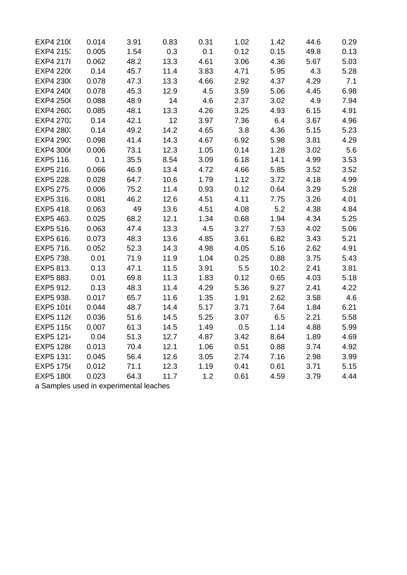| EXP4 2100        | 0.014 | 3.91 | 0.83 | 0.31 | 1.02 | 1.42 | 44.6 | 0.29 |
|------------------|-------|------|------|------|------|------|------|------|
| EXP4 2153        | 0.005 | 1.54 | 0.3  | 0.1  | 0.12 | 0.15 | 49.8 | 0.13 |
| <b>EXP4 2178</b> | 0.062 | 48.2 | 13.3 | 4.61 | 3.06 | 4.36 | 5.67 | 5.03 |
| EXP4 2200        | 0.14  | 45.7 | 11.4 | 3.83 | 4.71 | 5.95 | 4.3  | 5.28 |
| EXP4 2300        | 0.078 | 47.3 | 13.3 | 4.66 | 2.92 | 4.37 | 4.29 | 7.1  |
| EXP4 2400        | 0.078 | 45.3 | 12.9 | 4.5  | 3.59 | 5.06 | 4.45 | 6.98 |
| EXP4 2506        | 0.088 | 48.9 | 14   | 4.6  | 2.37 | 3.02 | 4.9  | 7.94 |
| EXP4 2602        | 0.085 | 48.1 | 13.3 | 4.26 | 3.25 | 4.93 | 6.15 | 4.91 |
| EXP4 2702        | 0.14  | 42.1 | 12   | 3.97 | 7.36 | 6.4  | 3.67 | 4.96 |
| EXP4 280         | 0.14  | 49.2 | 14.2 | 4.65 | 3.8  | 4.36 | 5.15 | 5.23 |
| EXP4 290         | 0.098 | 41.4 | 14.3 | 4.67 | 6.92 | 5.98 | 3.81 | 4.29 |
| EXP4 3006        | 0.006 | 73.1 | 12.3 | 1.05 | 0.14 | 1.28 | 3.02 | 5.6  |
| EXP5 116.        | 0.1   | 35.5 | 8.54 | 3.09 | 6.18 | 14.1 | 4.99 | 3.53 |
| EXP5 216.        | 0.066 | 46.9 | 13.4 | 4.72 | 4.66 | 5.85 | 3.52 | 3.52 |
| EXP5 228.        | 0.028 | 64.7 | 10.6 | 1.79 | 1.12 | 3.72 | 4.18 | 4.99 |
| EXP5 275.        | 0.006 | 75.2 | 11.4 | 0.93 | 0.12 | 0.64 | 3.29 | 5.28 |
| EXP5 316.        | 0.081 | 46.2 | 12.6 | 4.51 | 4.11 | 7.75 | 3.26 | 4.01 |
| EXP5 418.        | 0.063 | 49   | 13.6 | 4.51 | 4.08 | 5.2  | 4.38 | 4.84 |
| EXP5 463.        | 0.025 | 68.2 | 12.1 | 1.34 | 0.68 | 1.94 | 4.34 | 5.25 |
| EXP5 516.        | 0.063 | 47.4 | 13.3 | 4.5  | 3.27 | 7.53 | 4.02 | 5.06 |
| EXP5 616.        | 0.073 | 48.3 | 13.6 | 4.85 | 3.61 | 6.82 | 3.43 | 5.21 |
| EXP5 716.        | 0.052 | 52.3 | 14.3 | 4.98 | 4.05 | 5.16 | 2.62 | 4.91 |
| EXP5 738.        | 0.01  | 71.9 | 11.9 | 1.04 | 0.25 | 0.88 | 3.75 | 5.43 |
| EXP5 813.        | 0.13  | 47.1 | 11.5 | 3.91 | 5.5  | 10.2 | 2.41 | 3.81 |
| EXP5 883.        | 0.01  | 69.8 | 11.3 | 1.83 | 0.12 | 0.65 | 4.03 | 5.18 |
| EXP5 912.        | 0.13  | 48.3 | 11.4 | 4.29 | 5.36 | 9.27 | 2.41 | 4.22 |
| EXP5 938.        | 0.017 | 65.7 | 11.6 | 1.35 | 1.91 | 2.62 | 3.58 | 4.6  |
| EXP5 1016        | 0.044 | 48.7 | 14.4 | 5.17 | 3.71 | 7.64 | 1.84 | 6.21 |
| EXP5 1126        | 0.036 | 51.6 | 14.5 | 5.25 | 3.07 | 6.5  | 2.21 | 5.58 |
| EXP5 1150        | 0.007 | 61.3 | 14.5 | 1.49 | 0.5  | 1.14 | 4.88 | 5.99 |
| EXP5 1214        | 0.04  | 51.3 | 12.7 | 4.87 | 3.42 | 8.64 | 1.89 | 4.69 |
| EXP5 1286        | 0.013 | 70.4 | 12.1 | 1.06 | 0.51 | 0.88 | 3.74 | 4.92 |
| EXP5 131.        | 0.045 | 56.4 | 12.6 | 3.05 | 2.74 | 7.16 | 2.98 | 3.99 |
| EXP5 1756        | 0.012 | 71.1 | 12.3 | 1.19 | 0.41 | 0.61 | 3.71 | 5.15 |
| EXP5 1800        | 0.023 | 64.3 | 11.7 | 1.2  | 0.61 | 4.59 | 3.79 | 4.44 |

a Samples used in experimental leaches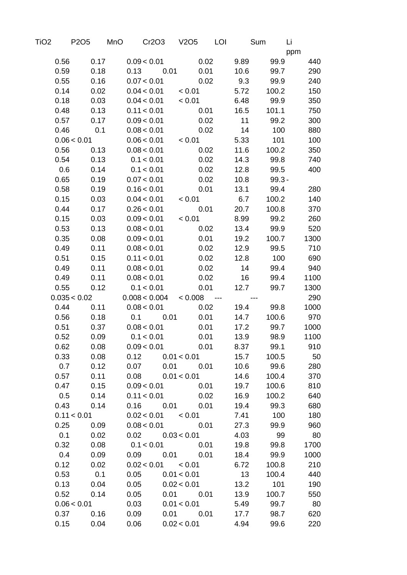| TiO2 |      | P2O5         | MnO |                              | Cr2O3      | V <sub>2</sub> O <sub>5</sub> |      | LOI                      |      | Sum      | Li   |
|------|------|--------------|-----|------------------------------|------------|-------------------------------|------|--------------------------|------|----------|------|
|      |      |              |     |                              |            |                               |      |                          |      |          | ppm  |
|      | 0.56 | 0.17         |     | 0.09 < 0.01                  |            |                               | 0.02 |                          | 9.89 | 99.9     | 440  |
|      | 0.59 | 0.18         |     | 0.13                         | 0.01       |                               | 0.01 |                          | 10.6 | 99.7     | 290  |
|      | 0.55 | 0.16         |     | 0.07 < 0.01                  |            |                               | 0.02 |                          | 9.3  | 99.9     | 240  |
|      | 0.14 | 0.02         |     | 0.04 < 0.01                  |            | ${}_{0.01}$                   |      |                          | 5.72 | 100.2    | 150  |
|      | 0.18 | 0.03         |     | 0.04 < 0.01                  |            | ${}_{0.01}$                   |      |                          | 6.48 | 99.9     | 350  |
|      | 0.48 | 0.13         |     | 0.11 < 0.01                  |            |                               | 0.01 |                          | 16.5 | 101.1    | 750  |
|      | 0.57 | 0.17         |     | 0.09 < 0.01                  |            |                               | 0.02 |                          | 11   | 99.2     | 300  |
|      | 0.46 | 0.1          |     | 0.08 < 0.01                  |            |                               | 0.02 |                          | 14   | 100      | 880  |
|      |      | 0.06 < 0.01  |     | 0.06 < 0.01                  |            | < 0.01                        |      |                          | 5.33 | 101      | 100  |
|      | 0.56 | 0.13         |     | 0.08 < 0.01                  |            |                               | 0.02 |                          | 11.6 | 100.2    | 350  |
|      | 0.54 | 0.13         |     | 0.1 < 0.01                   |            |                               | 0.02 |                          | 14.3 | 99.8     | 740  |
|      | 0.6  | 0.14         |     | 0.1 < 0.01                   |            |                               | 0.02 |                          | 12.8 | 99.5     | 400  |
|      | 0.65 | 0.19         |     | 0.07 < 0.01                  |            |                               | 0.02 |                          | 10.8 | $99.3 -$ |      |
|      | 0.58 | 0.19         |     | 0.16 < 0.01                  |            |                               | 0.01 |                          | 13.1 | 99.4     | 280  |
|      | 0.15 | 0.03         |     | 0.04 < 0.01                  |            | < 0.01                        |      |                          | 6.7  | 100.2    | 140  |
|      | 0.44 | 0.17         |     | 0.26 < 0.01                  |            |                               | 0.01 |                          | 20.7 | 100.8    | 370  |
|      | 0.15 | 0.03         |     | 0.09 < 0.01                  |            | < 0.01                        |      |                          | 8.99 | 99.2     | 260  |
|      | 0.53 | 0.13         |     | 0.08 < 0.01                  |            |                               | 0.02 |                          | 13.4 | 99.9     | 520  |
|      | 0.35 | 0.08         |     | 0.09 < 0.01                  |            |                               | 0.01 |                          | 19.2 | 100.7    | 1300 |
|      | 0.49 | 0.11         |     | 0.08 < 0.01                  |            |                               | 0.02 |                          | 12.9 | 99.5     | 710  |
|      | 0.51 | 0.15         |     | 0.11 < 0.01                  |            |                               | 0.02 |                          | 12.8 | 100      | 690  |
|      | 0.49 | 0.11         |     | 0.08 < 0.01                  |            |                               | 0.02 |                          | 14   | 99.4     | 940  |
|      | 0.49 | 0.11         |     | 0.08 < 0.01                  |            |                               | 0.02 |                          | 16   | 99.4     | 1100 |
|      | 0.55 | 0.12         |     | 0.1 < 0.01                   |            |                               | 0.01 |                          | 12.7 | 99.7     | 1300 |
|      |      | 0.035 < 0.02 |     | 0.008 < 0.004                |            | < 0.008                       |      | $\overline{\phantom{a}}$ |      |          | 290  |
|      | 0.44 | 0.11         |     | 0.08 < 0.01                  |            |                               | 0.02 |                          | 19.4 | 99.8     | 1000 |
|      | 0.56 | 0.18         |     | 0.1                          | 0.01       |                               | 0.01 |                          | 14.7 | 100.6    | 970  |
|      | 0.51 | 0.37         |     | 0.08 < 0.01                  |            |                               | 0.01 |                          | 17.2 | 99.7     | 1000 |
|      | 0.52 | 0.09         |     | 0.1 < 0.01                   |            |                               | 0.01 |                          | 13.9 | 98.9     | 1100 |
|      | 0.62 | 0.08         |     | 0.09 < 0.01                  |            |                               | 0.01 |                          | 8.37 | 99.1     | 910  |
|      | 0.33 | 0.08         |     | $0.12 \qquad 0.01 < 0.01$    |            |                               |      |                          | 15.7 | 100.5    | 50   |
|      | 0.7  | 0.12         |     | 0.07                         | 0.01       |                               | 0.01 |                          | 10.6 | 99.6     | 280  |
|      | 0.57 | 0.11         |     | $0.08$ $0.01 < 0.01$         |            |                               |      |                          | 14.6 | 100.4    | 370  |
|      | 0.47 | 0.15         |     | 0.09 < 0.01                  |            |                               | 0.01 |                          | 19.7 | 100.6    | 810  |
|      | 0.5  | 0.14         |     | 0.11 < 0.01                  |            |                               | 0.02 |                          | 16.9 | 100.2    | 640  |
|      | 0.43 | 0.14         |     | 0.16 0.01                    |            |                               | 0.01 |                          | 19.4 | 99.3     | 680  |
|      |      | 0.11 < 0.01  |     | $0.02 < 0.01$ < $0.01$       |            |                               |      |                          | 7.41 | 100      | 180  |
|      | 0.25 | 0.09         |     | $0.08 < 0.01$ 0.01           |            |                               |      |                          | 27.3 | 99.9     | 960  |
|      | 0.1  | 0.02         |     | $0.02 \qquad 0.03 \leq 0.01$ |            |                               |      |                          | 4.03 | 99       | 80   |
|      | 0.32 | 0.08         |     |                              | 0.1 < 0.01 |                               | 0.01 |                          | 19.8 | 99.8     | 1700 |
|      | 0.4  | 0.09         |     | $0.09$ $0.01$ $0.01$         |            |                               |      |                          | 18.4 | 99.9     | 1000 |
|      | 0.12 | 0.02         |     | $0.02 < 0.01$ < $0.01$       |            |                               |      |                          | 6.72 | 100.8    | 210  |
|      | 0.53 | 0.1          |     | 0.05                         |            | 0.01 < 0.01                   |      |                          | 13   | 100.4    | 440  |
|      | 0.13 | 0.04         |     | 0.05                         |            | 0.02 < 0.01                   |      |                          | 13.2 | 101      | 190  |
|      | 0.52 | 0.14         |     | 0.05                         |            | 0.01 0.01                     |      |                          | 13.9 | 100.7    | 550  |
|      |      | 0.06 < 0.01  |     | 0.03                         |            | 0.01 < 0.01                   |      |                          | 5.49 | 99.7     | 80   |
|      | 0.37 | 0.16         |     | 0.09                         | 0.01       |                               | 0.01 |                          | 17.7 | 98.7     | 620  |
|      | 0.15 | 0.04         |     | 0.06                         |            | 0.02 < 0.01                   |      |                          | 4.94 | 99.6     | 220  |
|      |      |              |     |                              |            |                               |      |                          |      |          |      |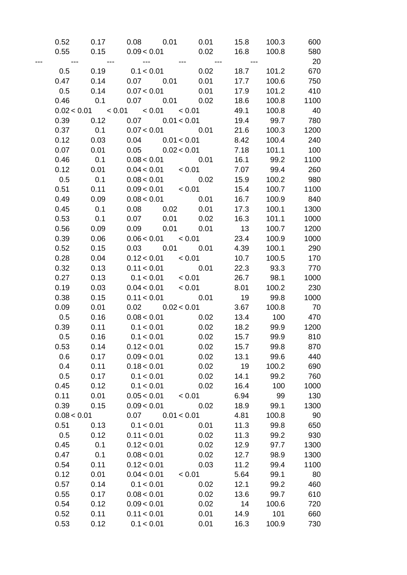| 0.52                     | 0.17                                     |                               | $0.08$ 0.01 0.01                  | 15.8                 | 100.3     | 600      |
|--------------------------|------------------------------------------|-------------------------------|-----------------------------------|----------------------|-----------|----------|
|                          | $0.55$ $0.15$                            |                               | $0.09 < 0.01$ 0.02                | 16.8                 | 100.8     | 580      |
| $\overline{\phantom{a}}$ | $\sim 10^{11}$ and $\sim 10^{11}$        | and the second control of the | $\sim 10^{11}$ and $\sim 10^{11}$ | $\sim$ $\sim$ $\sim$ |           | 20       |
| 0.5                      | 0.19                                     | 0.1 < 0.01                    | 0.02                              | 18.7                 | 101.2     | 670      |
| $0.47$ 0.14              |                                          |                               |                                   | 17.7                 | 100.6     | 750      |
| 0.5                      | 0.14                                     | 0.07 < 0.01                   | 0.01                              | 17.9                 | 101.2     | 410      |
| 0.46                     | 0.1                                      |                               | $0.07$ $0.01$ $0.02$              | 18.6                 | 100.8     | 1100     |
|                          | $0.02 < 0.01$ $< 0.01$ $< 0.01$ $< 0.01$ |                               |                                   | 49.1                 | 100.8     | 40       |
| 0.39                     | 0.12                                     |                               | $0.07$ $0.01 < 0.01$              | 19.4                 | 99.7      | 780      |
| 0.37                     | 0.1                                      |                               | $0.07 < 0.01$ 0.01                | 21.6                 | 100.3     | 1200     |
| 0.12                     | 0.03                                     |                               | $0.04$ $0.01 < 0.01$              | 8.42                 | 100.4     | 240      |
| 0.07                     | 0.01                                     |                               | $0.05$ $0.02 < 0.01$              | 7.18                 | 101.1     | 100      |
| 0.46                     | 0.1                                      |                               | $0.08 < 0.01$ 0.01                |                      | 16.1 99.2 | 1100     |
| 0.12                     | 0.01                                     |                               | $0.04 < 0.01$ < $0.01$            | 7.07                 | 99.4      | 260      |
| 0.5                      | 0.1                                      |                               | $0.08 < 0.01$ 0.02                | 15.9                 | 100.2     | 980      |
| 0.51                     | 0.11                                     |                               | $0.09 < 0.01$ < $0.01$            | 15.4                 | 100.7     | 1100     |
| 0.49                     | 0.09                                     |                               | $0.08 < 0.01$ 0.01                | 16.7                 | 100.9     | 840      |
| 0.45                     | 0.1                                      |                               |                                   | 17.3                 | 100.1     | 1300     |
| 0.53                     | 0.1                                      |                               |                                   | 16.3                 | 101.1     | 1000     |
| 0.56                     | 0.09                                     |                               | $0.09$ $0.01$ $0.01$              | 13                   | 100.7     | 1200     |
| 0.39                     | 0.06                                     |                               | $0.06 < 0.01$ < $0.01$            | 23.4                 | 100.9     | 1000     |
| 0.52                     | 0.15                                     |                               | $0.03$ $0.01$ $0.01$              | 4.39                 | 100.1     | 290      |
| 0.28                     | 0.04                                     |                               | $0.12 < 0.01$ < $0.01$            | 10.7                 | 100.5     | 170      |
| 0.32                     | 0.13                                     |                               | $0.11 < 0.01$ 0.01                | 22.3                 | 93.3      | 770      |
| 0.27                     | 0.13                                     |                               | $0.1 < 0.01$ $< 0.01$             | 26.7                 | 98.1      | 1000     |
| 0.19                     | 0.03                                     |                               | $0.04 < 0.01$ < $0.01$            | 8.01                 | 100.2     | 230      |
| 0.38                     | 0.15                                     |                               | $0.11 < 0.01$ 0.01                | 19 99.8              |           | 1000     |
| 0.09                     | 0.01                                     |                               | $0.02$ $0.02 < 0.01$              | 3.67                 | 100.8     | 70       |
| 0.5                      | 0.16                                     |                               | $0.08 < 0.01$ 0.02                | 13.4                 | 100       | 470      |
| 0.39                     | 0.11                                     |                               | $0.1 < 0.01$ 0.02                 | 18.2                 | 99.9      | 1200     |
| 0.5                      | 0.16                                     |                               | $0.1 < 0.01$ 0.02                 | 15.7                 |           | 99.9 810 |
| 0.53                     | 0.14                                     | 0.12 < 0.01                   | 0.02                              | 15.7                 | 99.8      | 870      |
| 0.6                      | 0.17                                     | 0.09 < 0.01                   | 0.02                              | 13.1                 | 99.6      | 440      |
| 0.4                      | 0.11                                     | 0.18 < 0.01                   | 0.02                              | 19                   | 100.2     | 690      |
| 0.5                      | 0.17                                     | 0.1 < 0.01                    | 0.02                              | 14.1                 | 99.2      | 760      |
| 0.45                     | 0.12                                     | 0.1 < 0.01                    | 0.02                              | 16.4                 | 100       | 1000     |
| 0.11                     | 0.01                                     | 0.05 < 0.01                   | ${}_{0.01}$                       | 6.94                 | 99        | 130      |
| 0.39                     | 0.15                                     | 0.09 < 0.01                   | 0.02                              | 18.9                 | 99.1      | 1300     |
| 0.08 < 0.01              |                                          | 0.07                          | 0.01 < 0.01                       | 4.81                 | 100.8     | 90       |
| 0.51                     | 0.13                                     | 0.1 < 0.01                    | 0.01                              | 11.3                 | 99.8      | 650      |
| 0.5                      | 0.12                                     | 0.11 < 0.01                   | 0.02                              | 11.3                 | 99.2      | 930      |
| 0.45                     | 0.1                                      | 0.12 < 0.01                   | 0.02                              | 12.9                 | 97.7      | 1300     |
| 0.47                     | 0.1                                      | 0.08 < 0.01                   | 0.02                              | 12.7                 | 98.9      | 1300     |
| 0.54                     | 0.11                                     | 0.12 < 0.01                   | 0.03                              | 11.2                 | 99.4      | 1100     |
| 0.12                     | 0.01                                     | 0.04 < 0.01                   | < 0.01                            | 5.64                 | 99.1      | 80       |
| 0.57                     | 0.14                                     | 0.1 < 0.01                    | 0.02                              | 12.1                 | 99.2      | 460      |
| 0.55                     | 0.17                                     | 0.08 < 0.01                   | 0.02                              | 13.6                 | 99.7      | 610      |
| 0.54                     | 0.12                                     | 0.09 < 0.01                   | 0.02                              | 14                   | 100.6     | 720      |
| 0.52                     | 0.11                                     | 0.11 < 0.01                   | 0.01                              | 14.9                 | 101       | 660      |
| 0.53                     | 0.12                                     | 0.1 < 0.01                    | 0.01                              | 16.3                 | 100.9     | 730      |